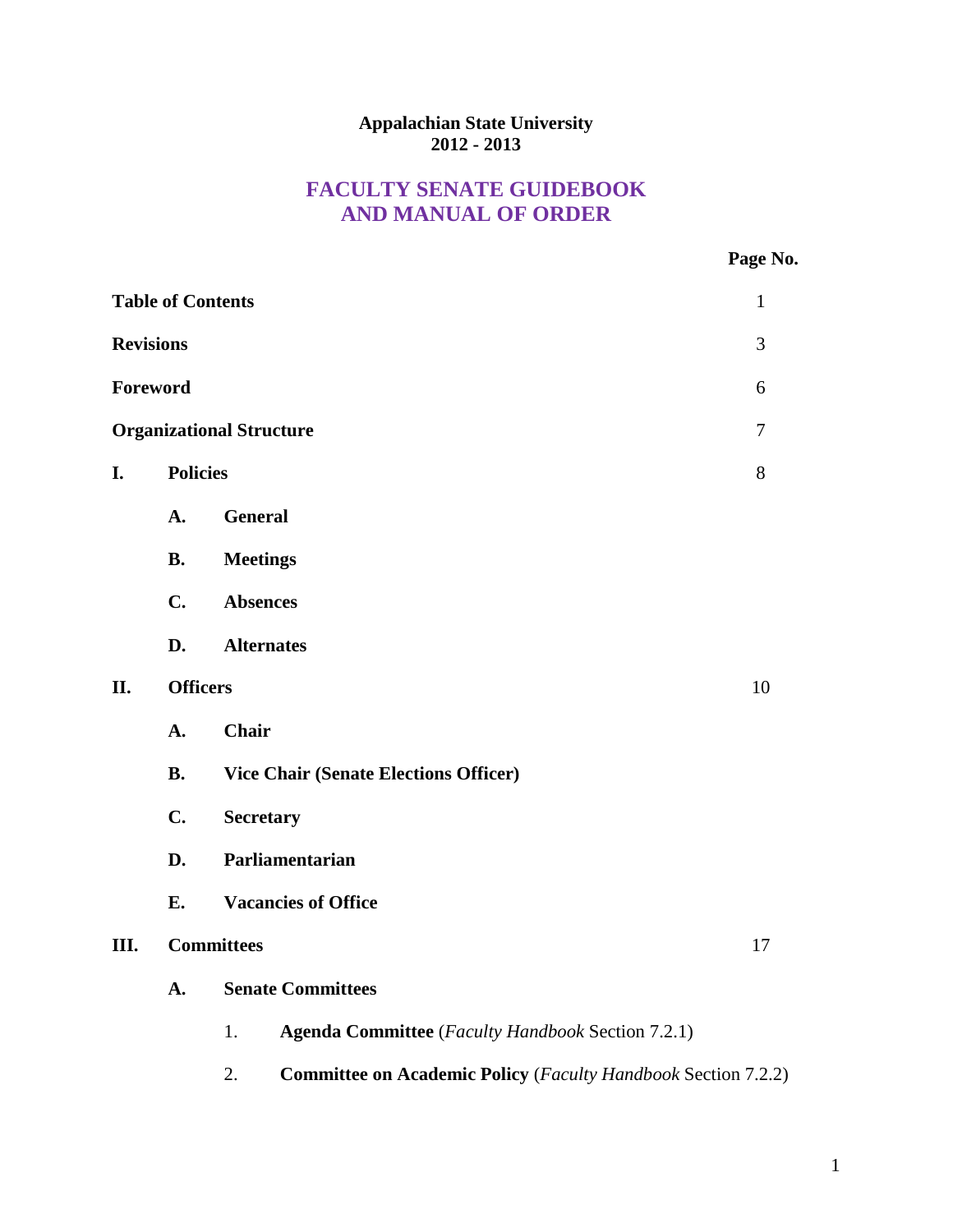### **Appalachian State University 2012 - 2013**

# **FACULTY SENATE GUIDEBOOK AND MANUAL OF ORDER**

| No. |
|-----|
|     |

| <b>Table of Contents</b><br>$\mathbf{1}$ |                                                                            |                                                                |  |  |  |  |
|------------------------------------------|----------------------------------------------------------------------------|----------------------------------------------------------------|--|--|--|--|
| <b>Revisions</b>                         |                                                                            |                                                                |  |  |  |  |
| Foreword<br>6                            |                                                                            |                                                                |  |  |  |  |
| <b>Organizational Structure</b><br>7     |                                                                            |                                                                |  |  |  |  |
| I.                                       | <b>Policies</b>                                                            | 8                                                              |  |  |  |  |
|                                          | A.                                                                         | <b>General</b>                                                 |  |  |  |  |
|                                          | <b>B.</b>                                                                  | <b>Meetings</b>                                                |  |  |  |  |
|                                          | C.                                                                         | <b>Absences</b>                                                |  |  |  |  |
|                                          | D.                                                                         | <b>Alternates</b>                                              |  |  |  |  |
| II.                                      | <b>Officers</b>                                                            |                                                                |  |  |  |  |
|                                          | A.                                                                         | <b>Chair</b>                                                   |  |  |  |  |
|                                          | <b>B.</b>                                                                  | <b>Vice Chair (Senate Elections Officer)</b>                   |  |  |  |  |
|                                          | C.                                                                         | <b>Secretary</b>                                               |  |  |  |  |
|                                          | D.                                                                         | Parliamentarian                                                |  |  |  |  |
|                                          | E.                                                                         | <b>Vacancies of Office</b>                                     |  |  |  |  |
| Ш.                                       |                                                                            | <b>Committees</b><br>17                                        |  |  |  |  |
|                                          | A.                                                                         | <b>Senate Committees</b>                                       |  |  |  |  |
|                                          |                                                                            | <b>Agenda Committee</b> (Faculty Handbook Section 7.2.1)<br>1. |  |  |  |  |
|                                          | 2.<br><b>Committee on Academic Policy</b> (Faculty Handbook Section 7.2.2) |                                                                |  |  |  |  |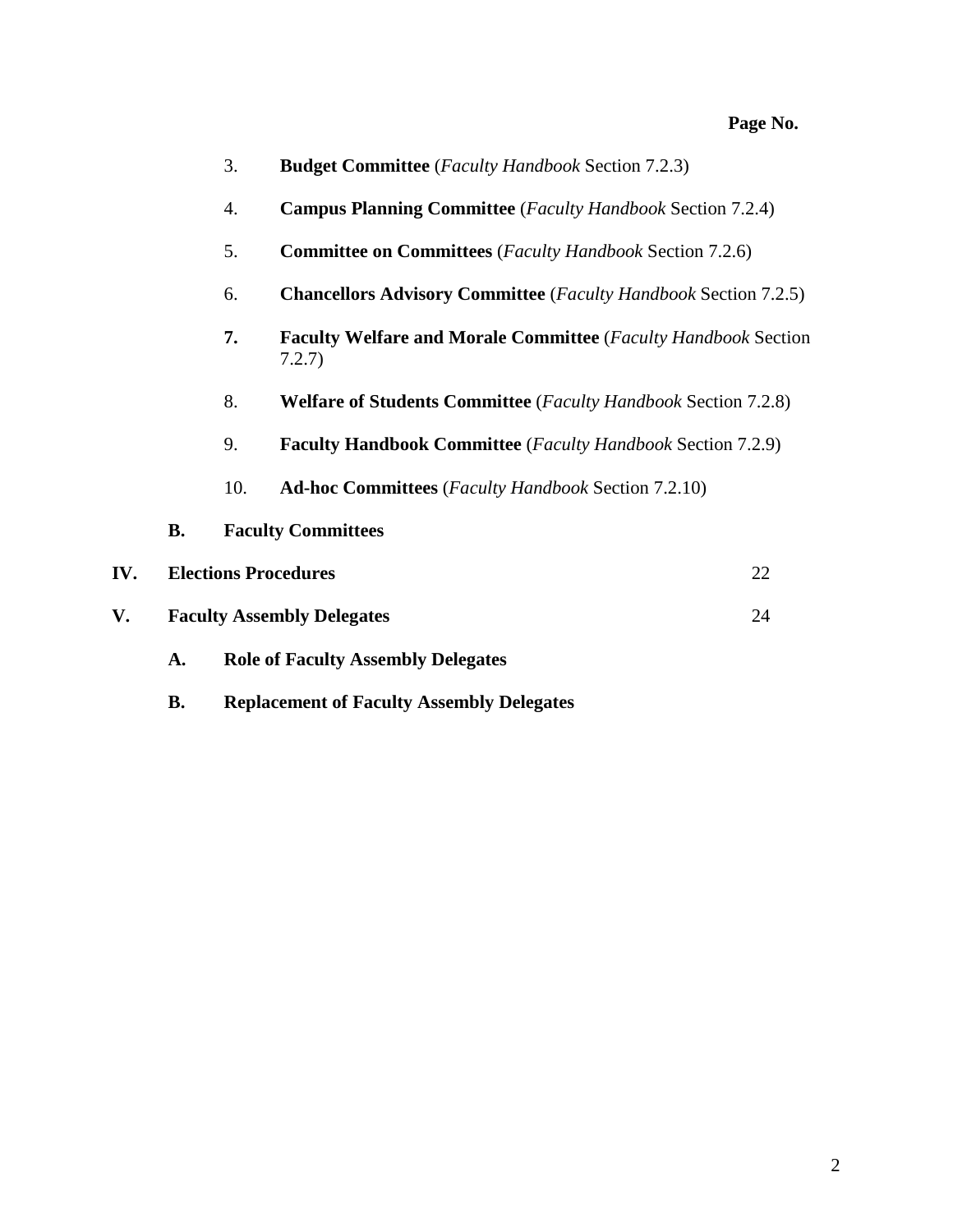|                                                                                      |                                   | 4.  | <b>Campus Planning Committee</b> ( <i>Faculty Handbook</i> Section 7.2.4)               |    |  |
|--------------------------------------------------------------------------------------|-----------------------------------|-----|-----------------------------------------------------------------------------------------|----|--|
|                                                                                      |                                   | 5.  | <b>Committee on Committees</b> (Faculty Handbook Section 7.2.6)                         |    |  |
|                                                                                      |                                   | 6.  | <b>Chancellors Advisory Committee</b> (Faculty Handbook Section 7.2.5)                  |    |  |
|                                                                                      |                                   | 7.  | <b>Faculty Welfare and Morale Committee</b> ( <i>Faculty Handbook</i> Section<br>7.2.7) |    |  |
| 8.<br><b>Welfare of Students Committee</b> ( <i>Faculty Handbook Section 7.2.8</i> ) |                                   |     |                                                                                         |    |  |
|                                                                                      |                                   | 9.  | <b>Faculty Handbook Committee</b> ( <i>Faculty Handbook Section 7.2.9</i> )             |    |  |
|                                                                                      |                                   | 10. | <b>Ad-hoc Committees</b> (Faculty Handbook Section 7.2.10)                              |    |  |
|                                                                                      | <b>B.</b>                         |     | <b>Faculty Committees</b>                                                               |    |  |
| IV.                                                                                  |                                   |     | <b>Elections Procedures</b>                                                             | 22 |  |
| V.                                                                                   | <b>Faculty Assembly Delegates</b> | 24  |                                                                                         |    |  |
|                                                                                      | A.                                |     | <b>Role of Faculty Assembly Delegates</b>                                               |    |  |

3. **Budget Committee** (*Faculty Handbook* Section 7.2.3)

**B. Replacement of Faculty Assembly Delegates**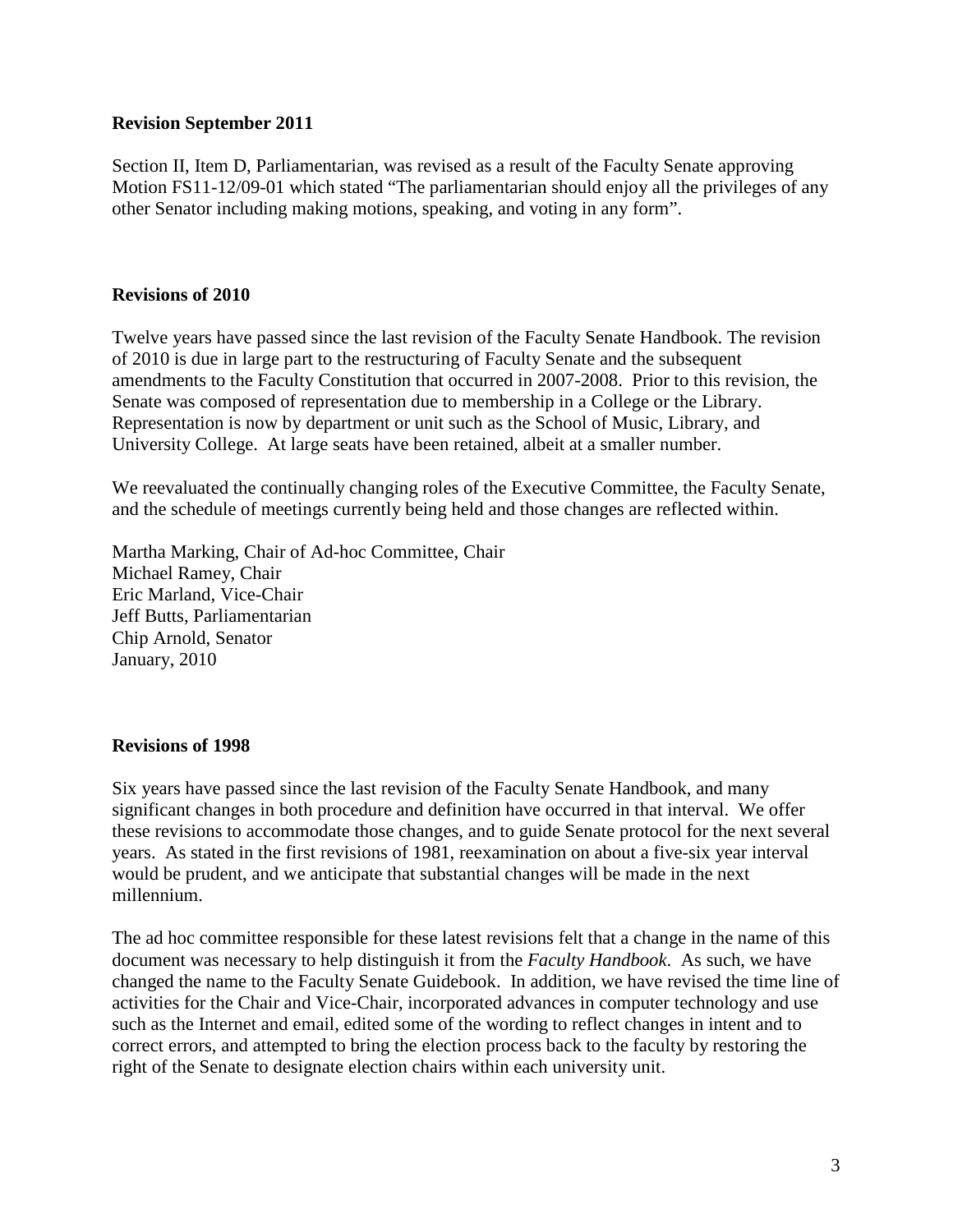### **Revision September 2011**

Section II, Item D, Parliamentarian, was revised as a result of the Faculty Senate approving Motion FS11-12/09-01 which stated "The parliamentarian should enjoy all the privileges of any other Senator including making motions, speaking, and voting in any form".

# **Revisions of 2010**

Twelve years have passed since the last revision of the Faculty Senate Handbook. The revision of 2010 is due in large part to the restructuring of Faculty Senate and the subsequent amendments to the Faculty Constitution that occurred in 2007-2008. Prior to this revision, the Senate was composed of representation due to membership in a College or the Library. Representation is now by department or unit such as the School of Music, Library, and University College. At large seats have been retained, albeit at a smaller number.

We reevaluated the continually changing roles of the Executive Committee, the Faculty Senate, and the schedule of meetings currently being held and those changes are reflected within.

Martha Marking, Chair of Ad-hoc Committee, Chair Michael Ramey, Chair Eric Marland, Vice-Chair Jeff Butts, Parliamentarian Chip Arnold, Senator January, 2010

### **Revisions of 1998**

Six years have passed since the last revision of the Faculty Senate Handbook, and many significant changes in both procedure and definition have occurred in that interval. We offer these revisions to accommodate those changes, and to guide Senate protocol for the next several years. As stated in the first revisions of 1981, reexamination on about a five-six year interval would be prudent, and we anticipate that substantial changes will be made in the next millennium.

The ad hoc committee responsible for these latest revisions felt that a change in the name of this document was necessary to help distinguish it from the *Faculty Handbook*. As such, we have changed the name to the Faculty Senate Guidebook. In addition, we have revised the time line of activities for the Chair and Vice-Chair, incorporated advances in computer technology and use such as the Internet and email, edited some of the wording to reflect changes in intent and to correct errors, and attempted to bring the election process back to the faculty by restoring the right of the Senate to designate election chairs within each university unit.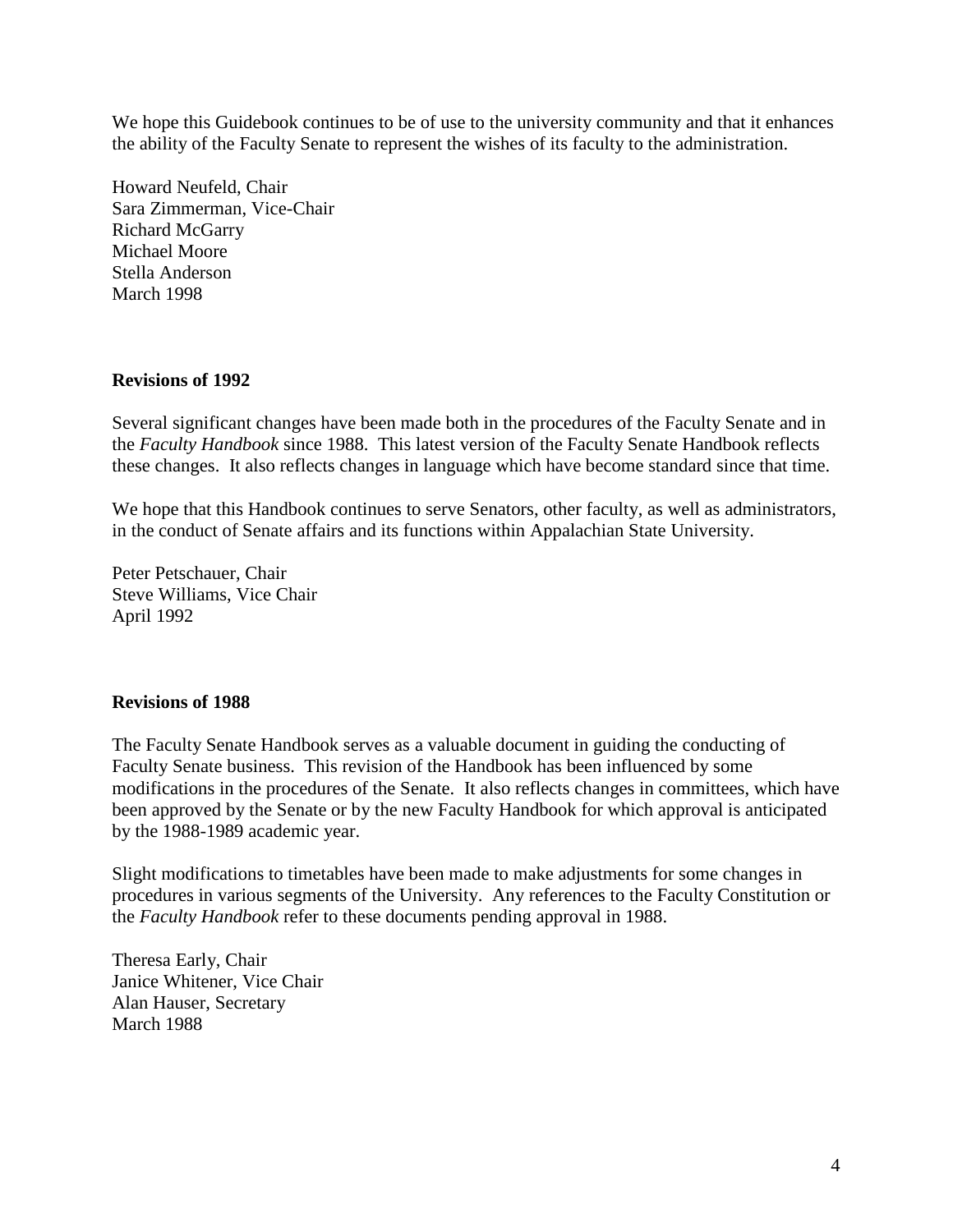We hope this Guidebook continues to be of use to the university community and that it enhances the ability of the Faculty Senate to represent the wishes of its faculty to the administration.

Howard Neufeld, Chair Sara Zimmerman, Vice-Chair Richard McGarry Michael Moore Stella Anderson March 1998

### **Revisions of 1992**

Several significant changes have been made both in the procedures of the Faculty Senate and in the *Faculty Handbook* since 1988. This latest version of the Faculty Senate Handbook reflects these changes. It also reflects changes in language which have become standard since that time.

We hope that this Handbook continues to serve Senators, other faculty, as well as administrators, in the conduct of Senate affairs and its functions within Appalachian State University.

Peter Petschauer, Chair Steve Williams, Vice Chair April 1992

### **Revisions of 1988**

The Faculty Senate Handbook serves as a valuable document in guiding the conducting of Faculty Senate business. This revision of the Handbook has been influenced by some modifications in the procedures of the Senate. It also reflects changes in committees, which have been approved by the Senate or by the new Faculty Handbook for which approval is anticipated by the 1988-1989 academic year.

Slight modifications to timetables have been made to make adjustments for some changes in procedures in various segments of the University. Any references to the Faculty Constitution or the *Faculty Handbook* refer to these documents pending approval in 1988.

Theresa Early, Chair Janice Whitener, Vice Chair Alan Hauser, Secretary March 1988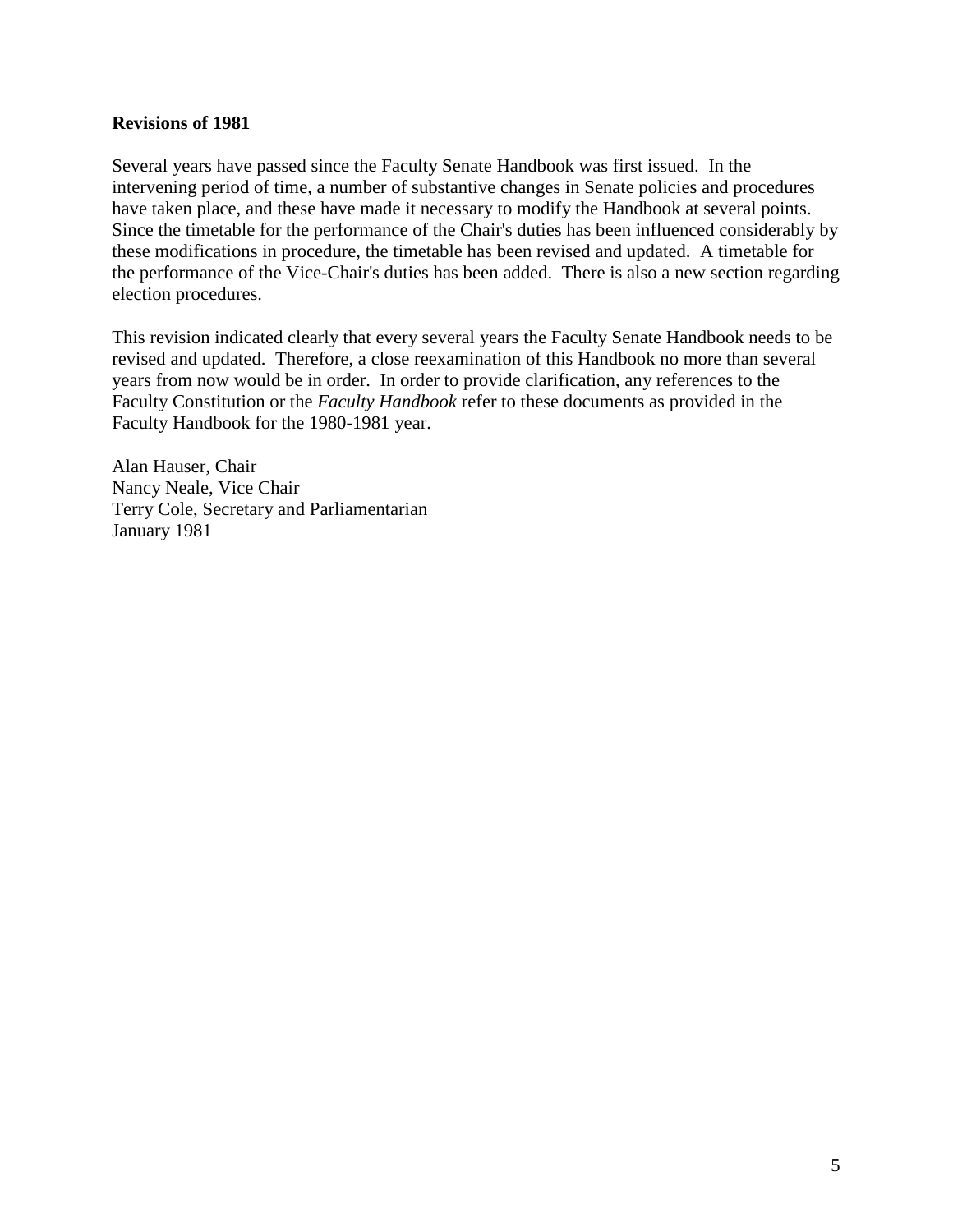#### **Revisions of 1981**

Several years have passed since the Faculty Senate Handbook was first issued. In the intervening period of time, a number of substantive changes in Senate policies and procedures have taken place, and these have made it necessary to modify the Handbook at several points. Since the timetable for the performance of the Chair's duties has been influenced considerably by these modifications in procedure, the timetable has been revised and updated. A timetable for the performance of the Vice-Chair's duties has been added. There is also a new section regarding election procedures.

This revision indicated clearly that every several years the Faculty Senate Handbook needs to be revised and updated. Therefore, a close reexamination of this Handbook no more than several years from now would be in order. In order to provide clarification, any references to the Faculty Constitution or the *Faculty Handbook* refer to these documents as provided in the Faculty Handbook for the 1980-1981 year.

Alan Hauser, Chair Nancy Neale, Vice Chair Terry Cole, Secretary and Parliamentarian January 1981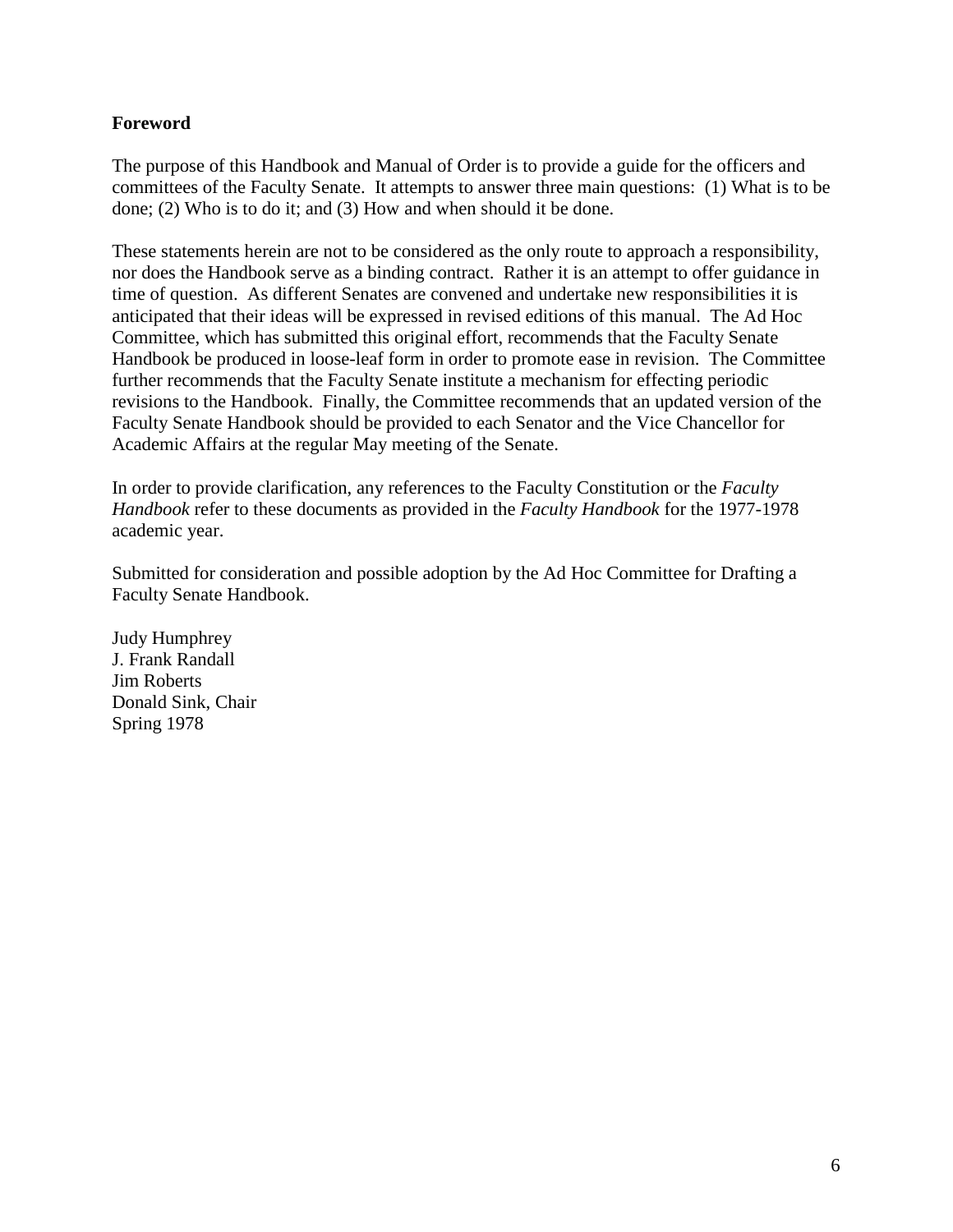# **Foreword**

The purpose of this Handbook and Manual of Order is to provide a guide for the officers and committees of the Faculty Senate. It attempts to answer three main questions: (1) What is to be done; (2) Who is to do it; and (3) How and when should it be done.

These statements herein are not to be considered as the only route to approach a responsibility, nor does the Handbook serve as a binding contract. Rather it is an attempt to offer guidance in time of question. As different Senates are convened and undertake new responsibilities it is anticipated that their ideas will be expressed in revised editions of this manual. The Ad Hoc Committee, which has submitted this original effort, recommends that the Faculty Senate Handbook be produced in loose-leaf form in order to promote ease in revision. The Committee further recommends that the Faculty Senate institute a mechanism for effecting periodic revisions to the Handbook. Finally, the Committee recommends that an updated version of the Faculty Senate Handbook should be provided to each Senator and the Vice Chancellor for Academic Affairs at the regular May meeting of the Senate.

In order to provide clarification, any references to the Faculty Constitution or the *Faculty Handbook* refer to these documents as provided in the *Faculty Handbook* for the 1977-1978 academic year.

Submitted for consideration and possible adoption by the Ad Hoc Committee for Drafting a Faculty Senate Handbook.

Judy Humphrey J. Frank Randall Jim Roberts Donald Sink, Chair Spring 1978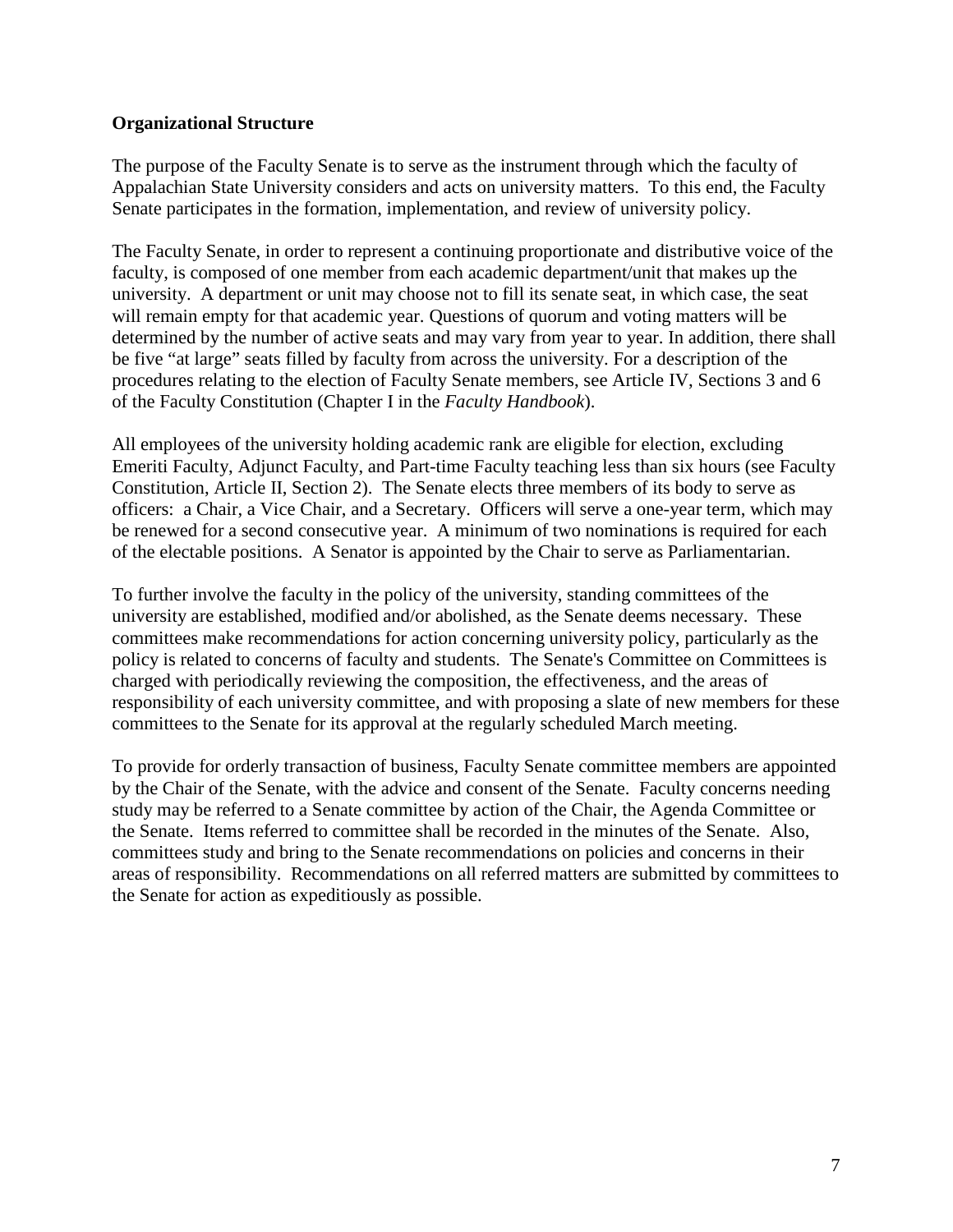# **Organizational Structure**

The purpose of the Faculty Senate is to serve as the instrument through which the faculty of Appalachian State University considers and acts on university matters. To this end, the Faculty Senate participates in the formation, implementation, and review of university policy.

The Faculty Senate, in order to represent a continuing proportionate and distributive voice of the faculty, is composed of one member from each academic department/unit that makes up the university. A department or unit may choose not to fill its senate seat, in which case, the seat will remain empty for that academic year. Questions of quorum and voting matters will be determined by the number of active seats and may vary from year to year. In addition, there shall be five "at large" seats filled by faculty from across the university. For a description of the procedures relating to the election of Faculty Senate members, see Article IV, Sections 3 and 6 of the Faculty Constitution (Chapter I in the *Faculty Handbook*).

All employees of the university holding academic rank are eligible for election, excluding Emeriti Faculty, Adjunct Faculty, and Part-time Faculty teaching less than six hours (see Faculty Constitution, Article II, Section 2). The Senate elects three members of its body to serve as officers: a Chair, a Vice Chair, and a Secretary. Officers will serve a one-year term, which may be renewed for a second consecutive year. A minimum of two nominations is required for each of the electable positions. A Senator is appointed by the Chair to serve as Parliamentarian.

To further involve the faculty in the policy of the university, standing committees of the university are established, modified and/or abolished, as the Senate deems necessary. These committees make recommendations for action concerning university policy, particularly as the policy is related to concerns of faculty and students. The Senate's Committee on Committees is charged with periodically reviewing the composition, the effectiveness, and the areas of responsibility of each university committee, and with proposing a slate of new members for these committees to the Senate for its approval at the regularly scheduled March meeting.

To provide for orderly transaction of business, Faculty Senate committee members are appointed by the Chair of the Senate, with the advice and consent of the Senate. Faculty concerns needing study may be referred to a Senate committee by action of the Chair, the Agenda Committee or the Senate. Items referred to committee shall be recorded in the minutes of the Senate. Also, committees study and bring to the Senate recommendations on policies and concerns in their areas of responsibility. Recommendations on all referred matters are submitted by committees to the Senate for action as expeditiously as possible.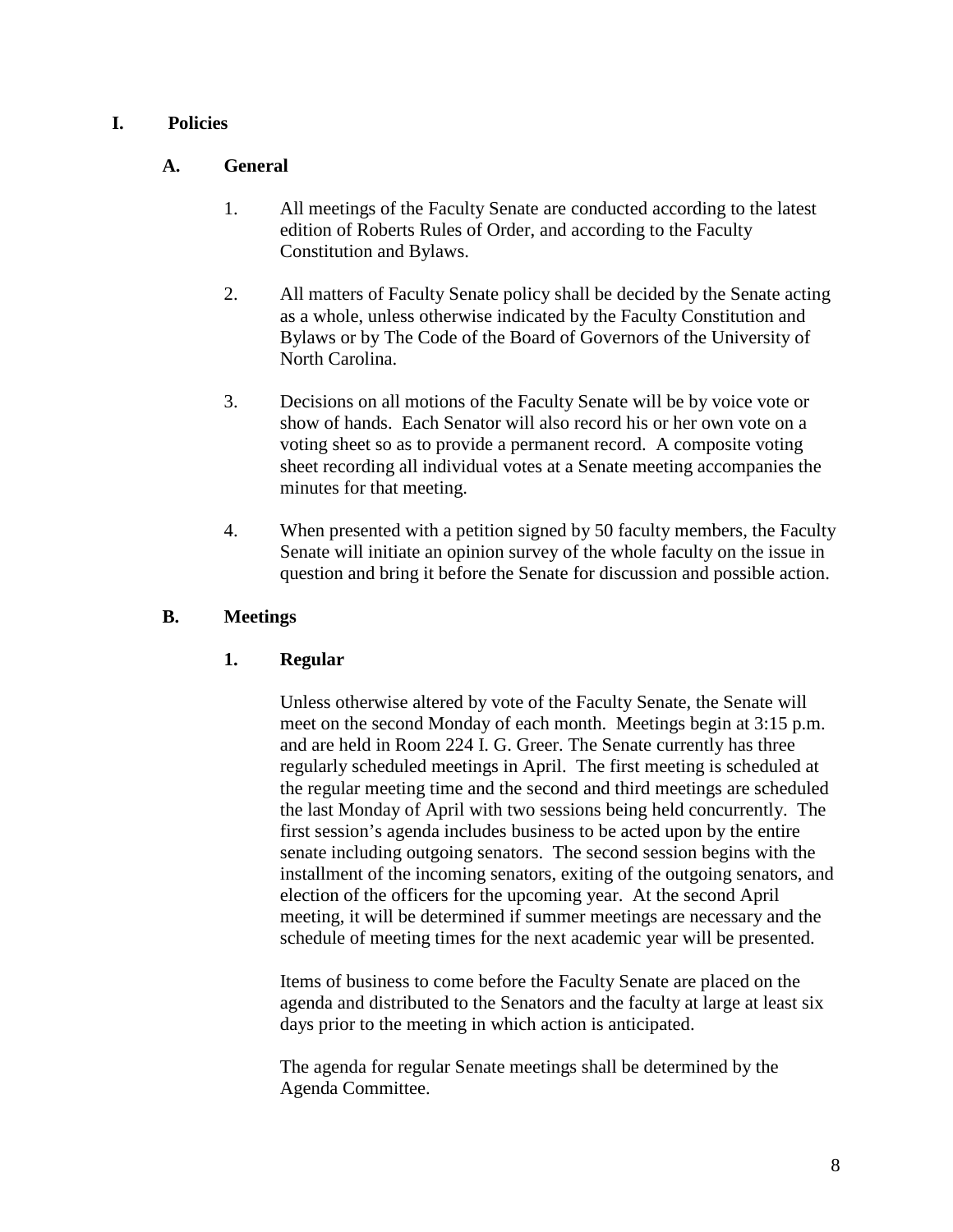# **I. Policies**

# **A. General**

- 1. All meetings of the Faculty Senate are conducted according to the latest edition of Roberts Rules of Order, and according to the Faculty Constitution and Bylaws.
- 2. All matters of Faculty Senate policy shall be decided by the Senate acting as a whole, unless otherwise indicated by the Faculty Constitution and Bylaws or by The Code of the Board of Governors of the University of North Carolina.
- 3. Decisions on all motions of the Faculty Senate will be by voice vote or show of hands. Each Senator will also record his or her own vote on a voting sheet so as to provide a permanent record. A composite voting sheet recording all individual votes at a Senate meeting accompanies the minutes for that meeting.
- 4. When presented with a petition signed by 50 faculty members, the Faculty Senate will initiate an opinion survey of the whole faculty on the issue in question and bring it before the Senate for discussion and possible action.

### **B. Meetings**

# **1. Regular**

Unless otherwise altered by vote of the Faculty Senate, the Senate will meet on the second Monday of each month. Meetings begin at 3:15 p.m. and are held in Room 224 I. G. Greer. The Senate currently has three regularly scheduled meetings in April. The first meeting is scheduled at the regular meeting time and the second and third meetings are scheduled the last Monday of April with two sessions being held concurrently. The first session's agenda includes business to be acted upon by the entire senate including outgoing senators. The second session begins with the installment of the incoming senators, exiting of the outgoing senators, and election of the officers for the upcoming year. At the second April meeting, it will be determined if summer meetings are necessary and the schedule of meeting times for the next academic year will be presented.

Items of business to come before the Faculty Senate are placed on the agenda and distributed to the Senators and the faculty at large at least six days prior to the meeting in which action is anticipated.

The agenda for regular Senate meetings shall be determined by the Agenda Committee.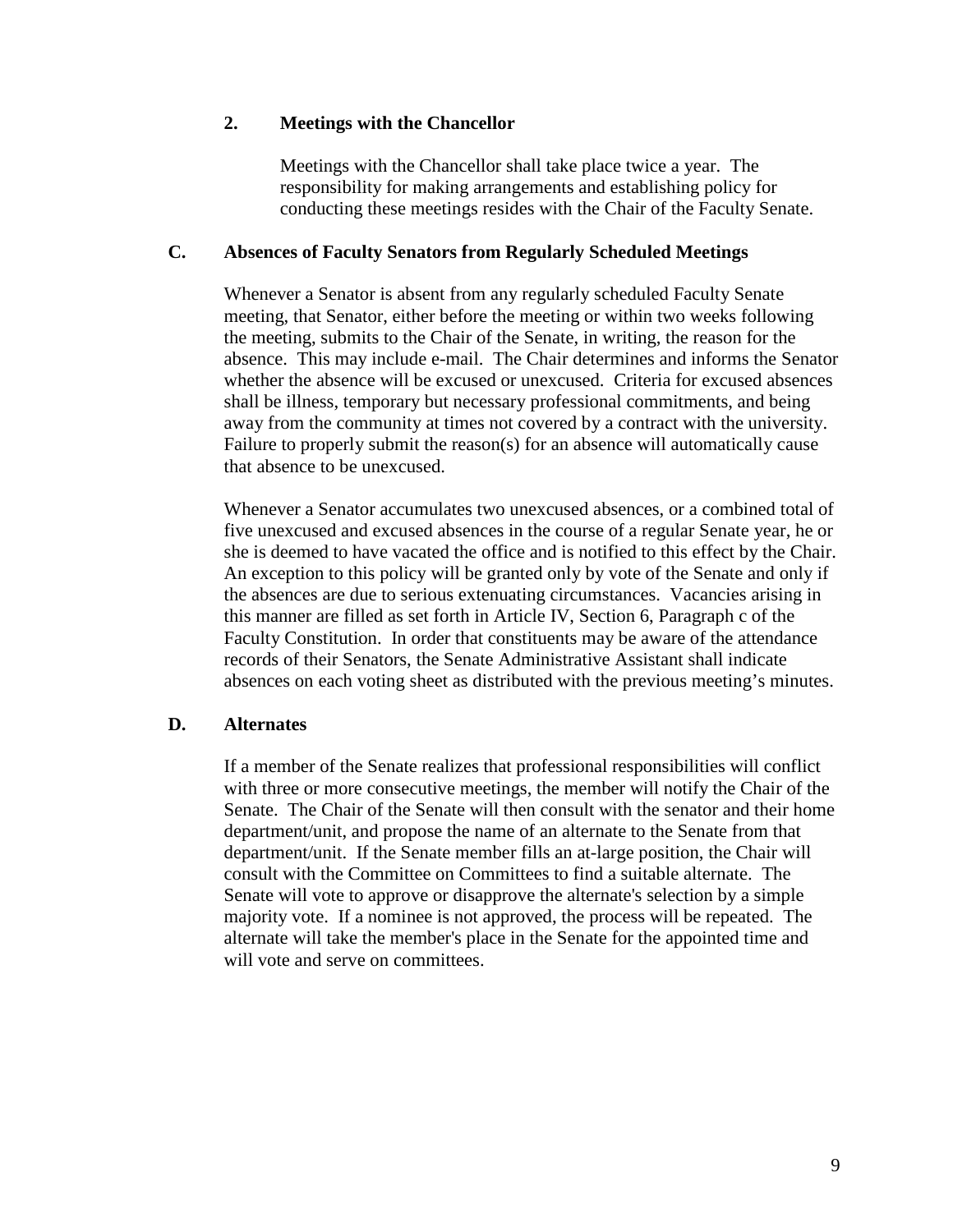# **2. Meetings with the Chancellor**

Meetings with the Chancellor shall take place twice a year. The responsibility for making arrangements and establishing policy for conducting these meetings resides with the Chair of the Faculty Senate.

### **C. Absences of Faculty Senators from Regularly Scheduled Meetings**

Whenever a Senator is absent from any regularly scheduled Faculty Senate meeting, that Senator, either before the meeting or within two weeks following the meeting, submits to the Chair of the Senate, in writing, the reason for the absence. This may include e-mail. The Chair determines and informs the Senator whether the absence will be excused or unexcused. Criteria for excused absences shall be illness, temporary but necessary professional commitments, and being away from the community at times not covered by a contract with the university. Failure to properly submit the reason(s) for an absence will automatically cause that absence to be unexcused.

Whenever a Senator accumulates two unexcused absences, or a combined total of five unexcused and excused absences in the course of a regular Senate year, he or she is deemed to have vacated the office and is notified to this effect by the Chair. An exception to this policy will be granted only by vote of the Senate and only if the absences are due to serious extenuating circumstances. Vacancies arising in this manner are filled as set forth in Article IV, Section 6, Paragraph c of the Faculty Constitution. In order that constituents may be aware of the attendance records of their Senators, the Senate Administrative Assistant shall indicate absences on each voting sheet as distributed with the previous meeting's minutes.

# **D. Alternates**

If a member of the Senate realizes that professional responsibilities will conflict with three or more consecutive meetings, the member will notify the Chair of the Senate. The Chair of the Senate will then consult with the senator and their home department/unit, and propose the name of an alternate to the Senate from that department/unit. If the Senate member fills an at-large position, the Chair will consult with the Committee on Committees to find a suitable alternate. The Senate will vote to approve or disapprove the alternate's selection by a simple majority vote. If a nominee is not approved, the process will be repeated. The alternate will take the member's place in the Senate for the appointed time and will vote and serve on committees.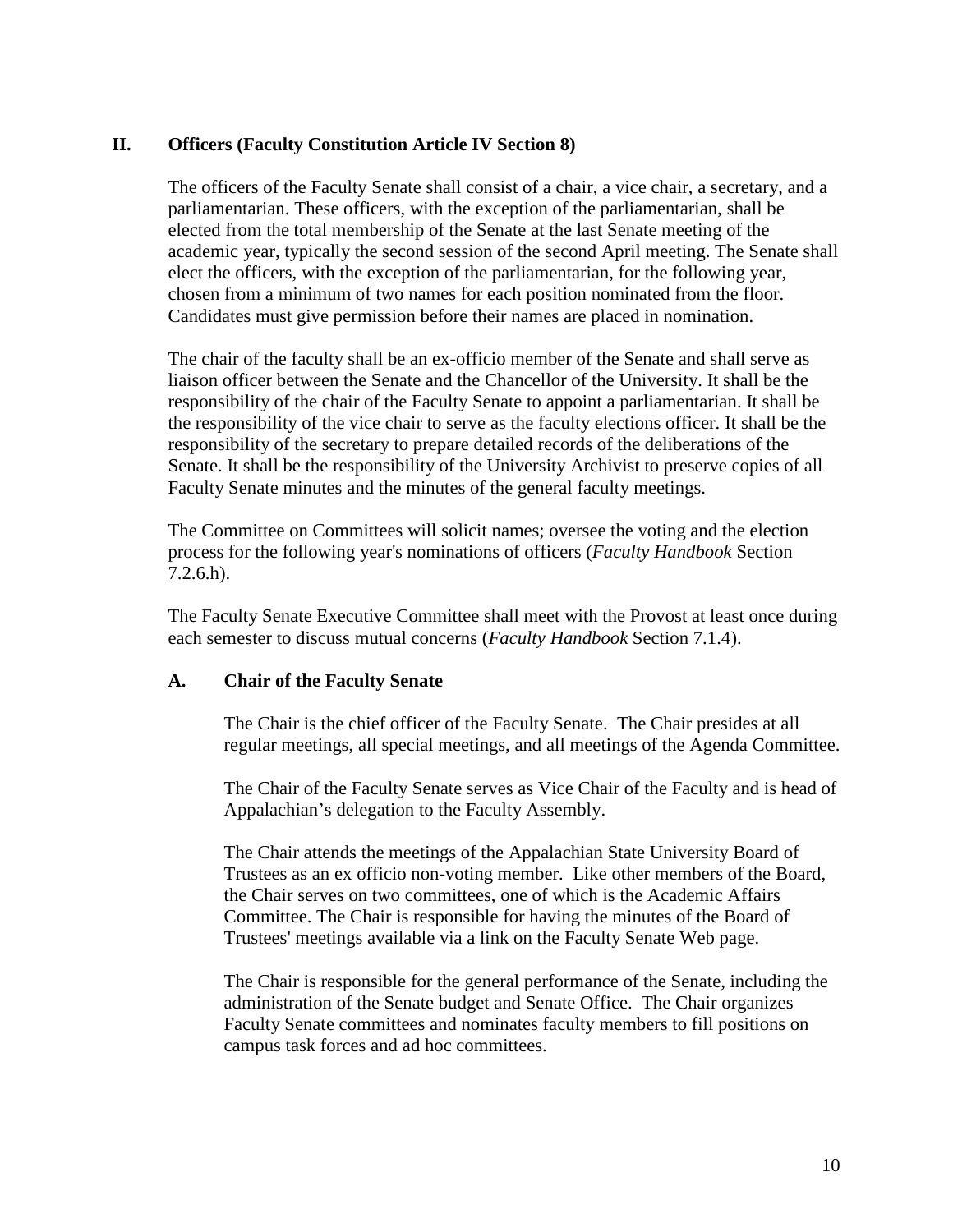# **II. Officers (Faculty Constitution Article IV Section 8)**

The officers of the Faculty Senate shall consist of a chair, a vice chair, a secretary, and a parliamentarian. These officers, with the exception of the parliamentarian, shall be elected from the total membership of the Senate at the last Senate meeting of the academic year, typically the second session of the second April meeting. The Senate shall elect the officers, with the exception of the parliamentarian, for the following year, chosen from a minimum of two names for each position nominated from the floor. Candidates must give permission before their names are placed in nomination.

The chair of the faculty shall be an ex-officio member of the Senate and shall serve as liaison officer between the Senate and the Chancellor of the University. It shall be the responsibility of the chair of the Faculty Senate to appoint a parliamentarian. It shall be the responsibility of the vice chair to serve as the faculty elections officer. It shall be the responsibility of the secretary to prepare detailed records of the deliberations of the Senate. It shall be the responsibility of the University Archivist to preserve copies of all Faculty Senate minutes and the minutes of the general faculty meetings.

The Committee on Committees will solicit names; oversee the voting and the election process for the following year's nominations of officers (*Faculty Handbook* Section 7.2.6.h).

The Faculty Senate Executive Committee shall meet with the Provost at least once during each semester to discuss mutual concerns (*Faculty Handbook* Section 7.1.4).

### **A. Chair of the Faculty Senate**

The Chair is the chief officer of the Faculty Senate. The Chair presides at all regular meetings, all special meetings, and all meetings of the Agenda Committee.

The Chair of the Faculty Senate serves as Vice Chair of the Faculty and is head of Appalachian's delegation to the Faculty Assembly.

The Chair attends the meetings of the Appalachian State University Board of Trustees as an ex officio non-voting member. Like other members of the Board, the Chair serves on two committees, one of which is the Academic Affairs Committee. The Chair is responsible for having the minutes of the Board of Trustees' meetings available via a link on the Faculty Senate Web page.

The Chair is responsible for the general performance of the Senate, including the administration of the Senate budget and Senate Office. The Chair organizes Faculty Senate committees and nominates faculty members to fill positions on campus task forces and ad hoc committees.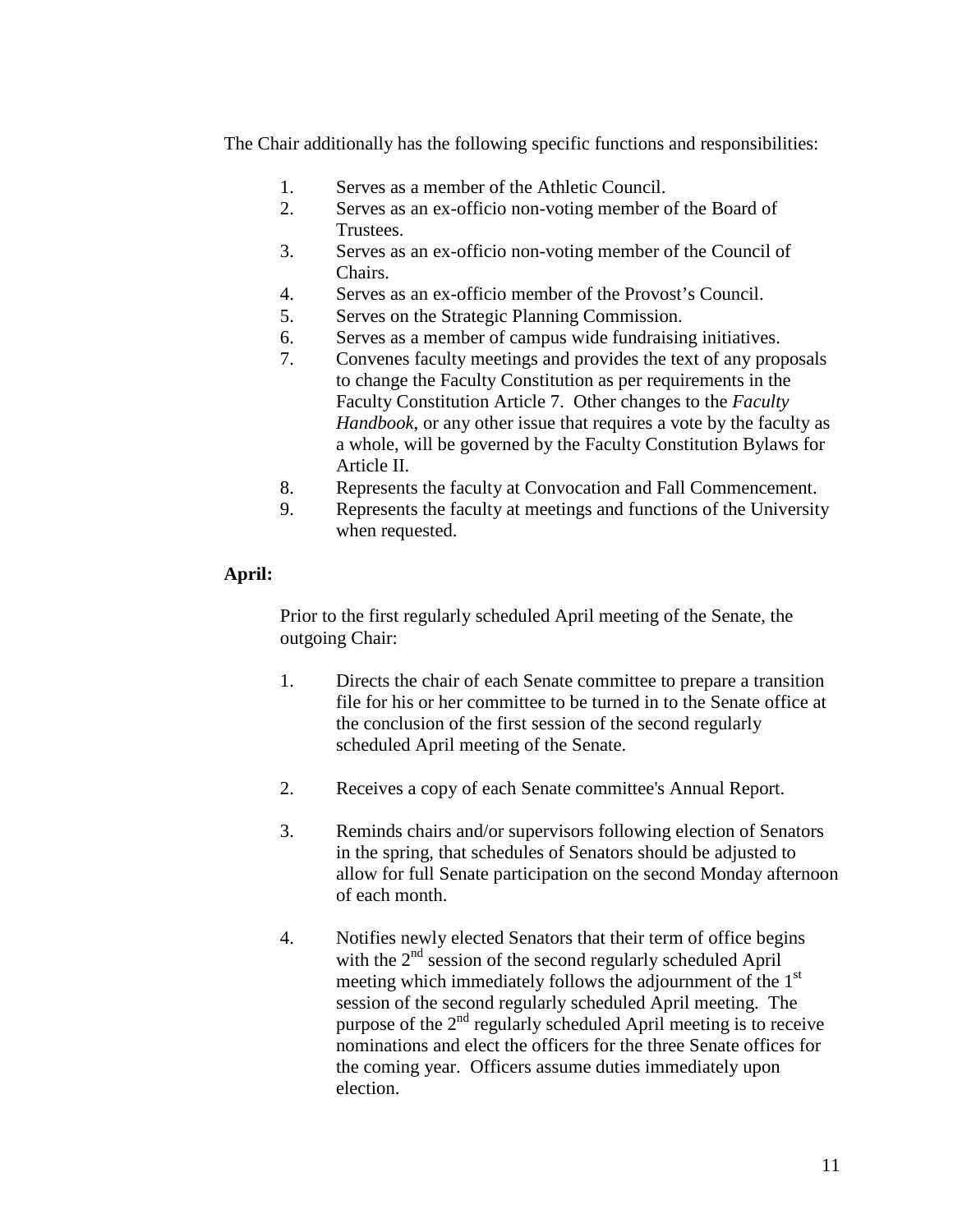The Chair additionally has the following specific functions and responsibilities:

- 1. Serves as a member of the Athletic Council.
- 2. Serves as an ex-officio non-voting member of the Board of Trustees.
- 3. Serves as an ex-officio non-voting member of the Council of Chairs.
- 4. Serves as an ex-officio member of the Provost's Council.
- 5. Serves on the Strategic Planning Commission.
- 6. Serves as a member of campus wide fundraising initiatives.
- 7. Convenes faculty meetings and provides the text of any proposals to change the Faculty Constitution as per requirements in the Faculty Constitution Article 7. Other changes to the *Faculty Handbook*, or any other issue that requires a vote by the faculty as a whole, will be governed by the Faculty Constitution Bylaws for Article II.
- 8. Represents the faculty at Convocation and Fall Commencement.
- 9. Represents the faculty at meetings and functions of the University when requested.

# **April:**

Prior to the first regularly scheduled April meeting of the Senate, the outgoing Chair:

- 1. Directs the chair of each Senate committee to prepare a transition file for his or her committee to be turned in to the Senate office at the conclusion of the first session of the second regularly scheduled April meeting of the Senate.
- 2. Receives a copy of each Senate committee's Annual Report.
- 3. Reminds chairs and/or supervisors following election of Senators in the spring, that schedules of Senators should be adjusted to allow for full Senate participation on the second Monday afternoon of each month.
- 4. Notifies newly elected Senators that their term of office begins with the  $2<sup>nd</sup>$  session of the second regularly scheduled April meeting which immediately follows the adjournment of the  $1<sup>st</sup>$ session of the second regularly scheduled April meeting. The purpose of the  $2<sup>nd</sup>$  regularly scheduled April meeting is to receive nominations and elect the officers for the three Senate offices for the coming year. Officers assume duties immediately upon election.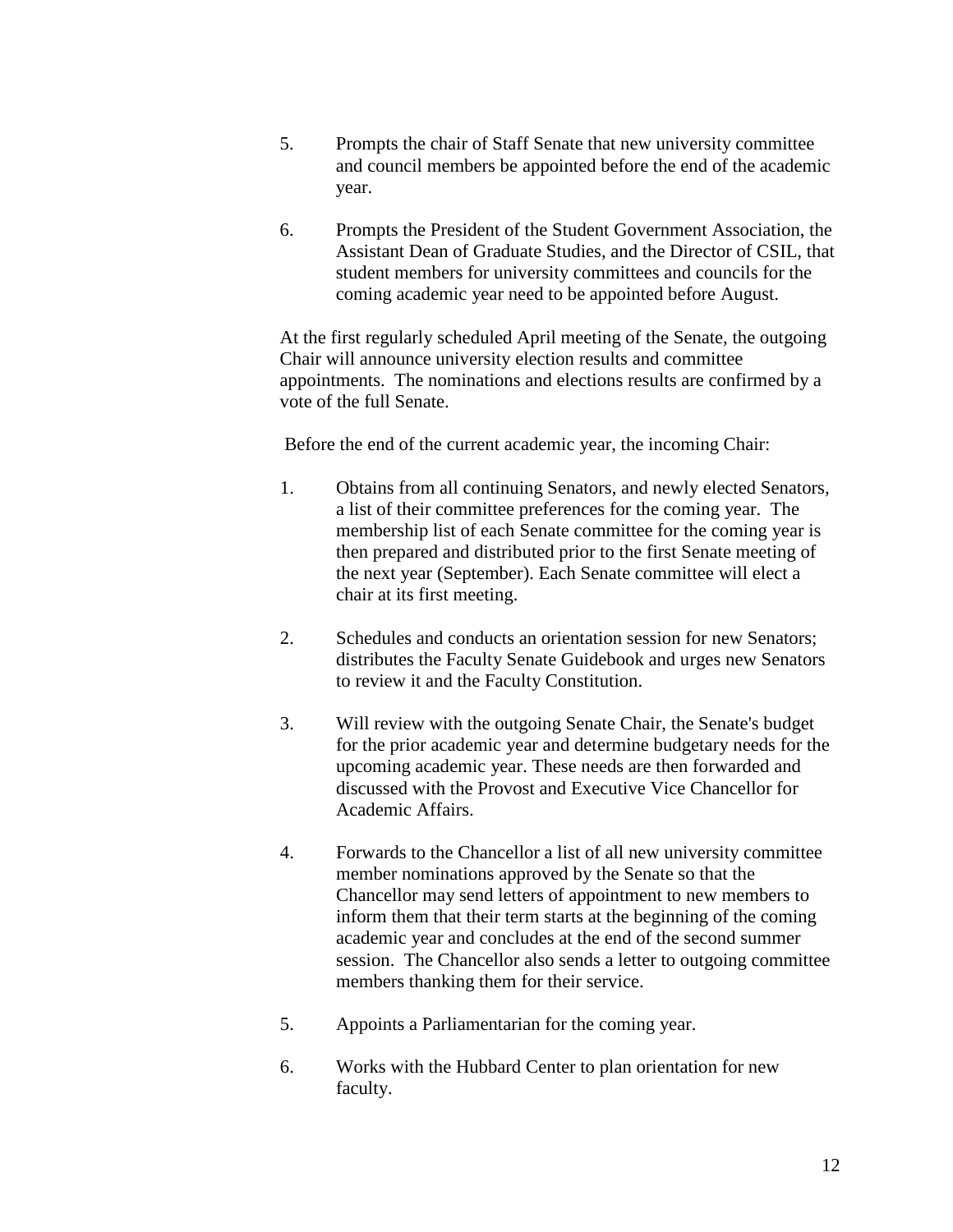- 5. Prompts the chair of Staff Senate that new university committee and council members be appointed before the end of the academic year.
- 6. Prompts the President of the Student Government Association, the Assistant Dean of Graduate Studies, and the Director of CSIL, that student members for university committees and councils for the coming academic year need to be appointed before August.

At the first regularly scheduled April meeting of the Senate, the outgoing Chair will announce university election results and committee appointments. The nominations and elections results are confirmed by a vote of the full Senate.

Before the end of the current academic year, the incoming Chair:

- 1. Obtains from all continuing Senators, and newly elected Senators, a list of their committee preferences for the coming year. The membership list of each Senate committee for the coming year is then prepared and distributed prior to the first Senate meeting of the next year (September). Each Senate committee will elect a chair at its first meeting.
- 2. Schedules and conducts an orientation session for new Senators; distributes the Faculty Senate Guidebook and urges new Senators to review it and the Faculty Constitution.
- 3. Will review with the outgoing Senate Chair, the Senate's budget for the prior academic year and determine budgetary needs for the upcoming academic year. These needs are then forwarded and discussed with the Provost and Executive Vice Chancellor for Academic Affairs.
- 4. Forwards to the Chancellor a list of all new university committee member nominations approved by the Senate so that the Chancellor may send letters of appointment to new members to inform them that their term starts at the beginning of the coming academic year and concludes at the end of the second summer session. The Chancellor also sends a letter to outgoing committee members thanking them for their service.
- 5. Appoints a Parliamentarian for the coming year.
- 6. Works with the Hubbard Center to plan orientation for new faculty.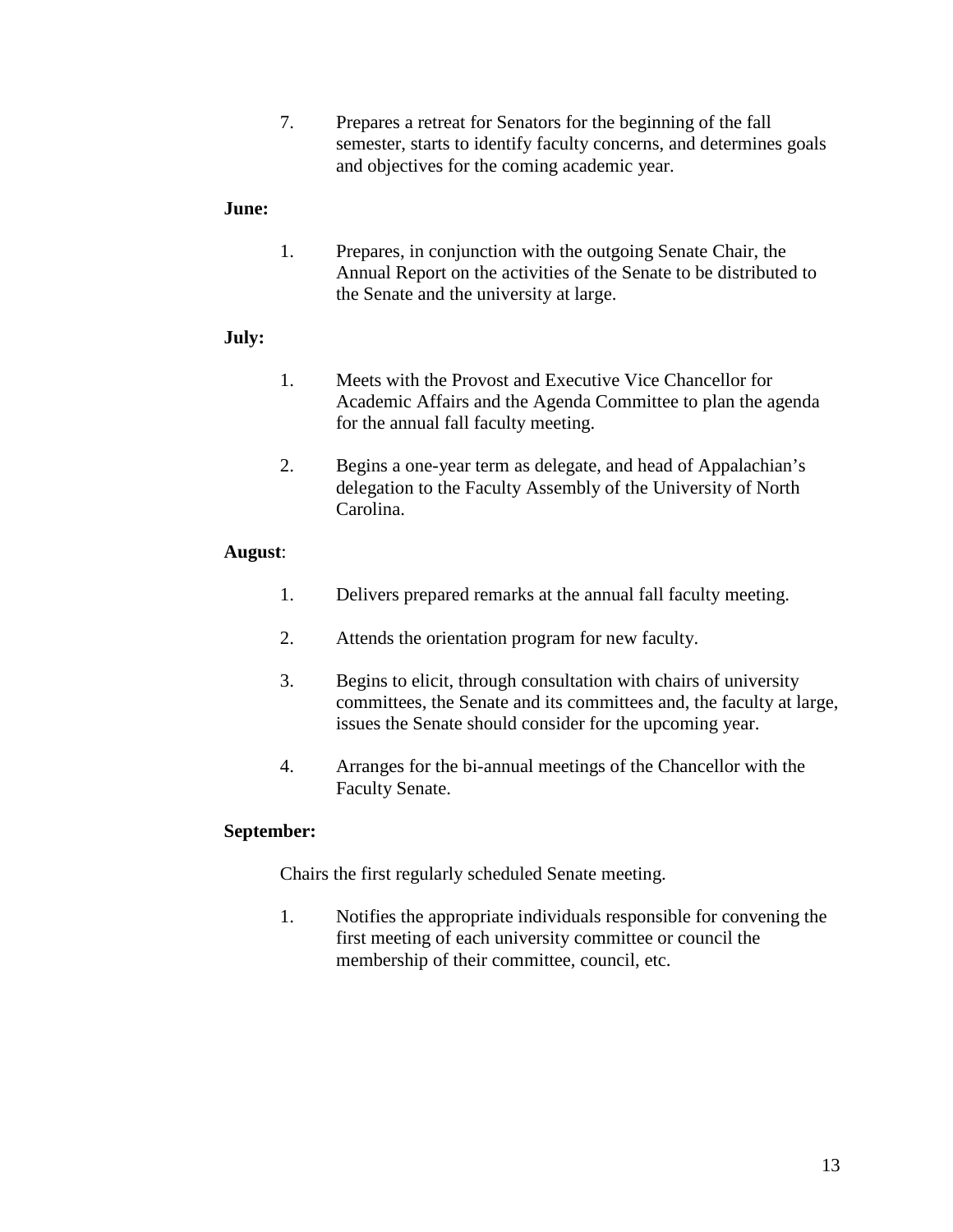7. Prepares a retreat for Senators for the beginning of the fall semester, starts to identify faculty concerns, and determines goals and objectives for the coming academic year.

### **June:**

1. Prepares, in conjunction with the outgoing Senate Chair, the Annual Report on the activities of the Senate to be distributed to the Senate and the university at large.

# **July:**

- 1. Meets with the Provost and Executive Vice Chancellor for Academic Affairs and the Agenda Committee to plan the agenda for the annual fall faculty meeting.
- 2. Begins a one-year term as delegate, and head of Appalachian's delegation to the Faculty Assembly of the University of North Carolina.

# **August**:

- 1. Delivers prepared remarks at the annual fall faculty meeting.
- 2. Attends the orientation program for new faculty.
- 3. Begins to elicit, through consultation with chairs of university committees, the Senate and its committees and, the faculty at large, issues the Senate should consider for the upcoming year.
- 4. Arranges for the bi-annual meetings of the Chancellor with the Faculty Senate.

# **September:**

Chairs the first regularly scheduled Senate meeting.

1. Notifies the appropriate individuals responsible for convening the first meeting of each university committee or council the membership of their committee, council, etc.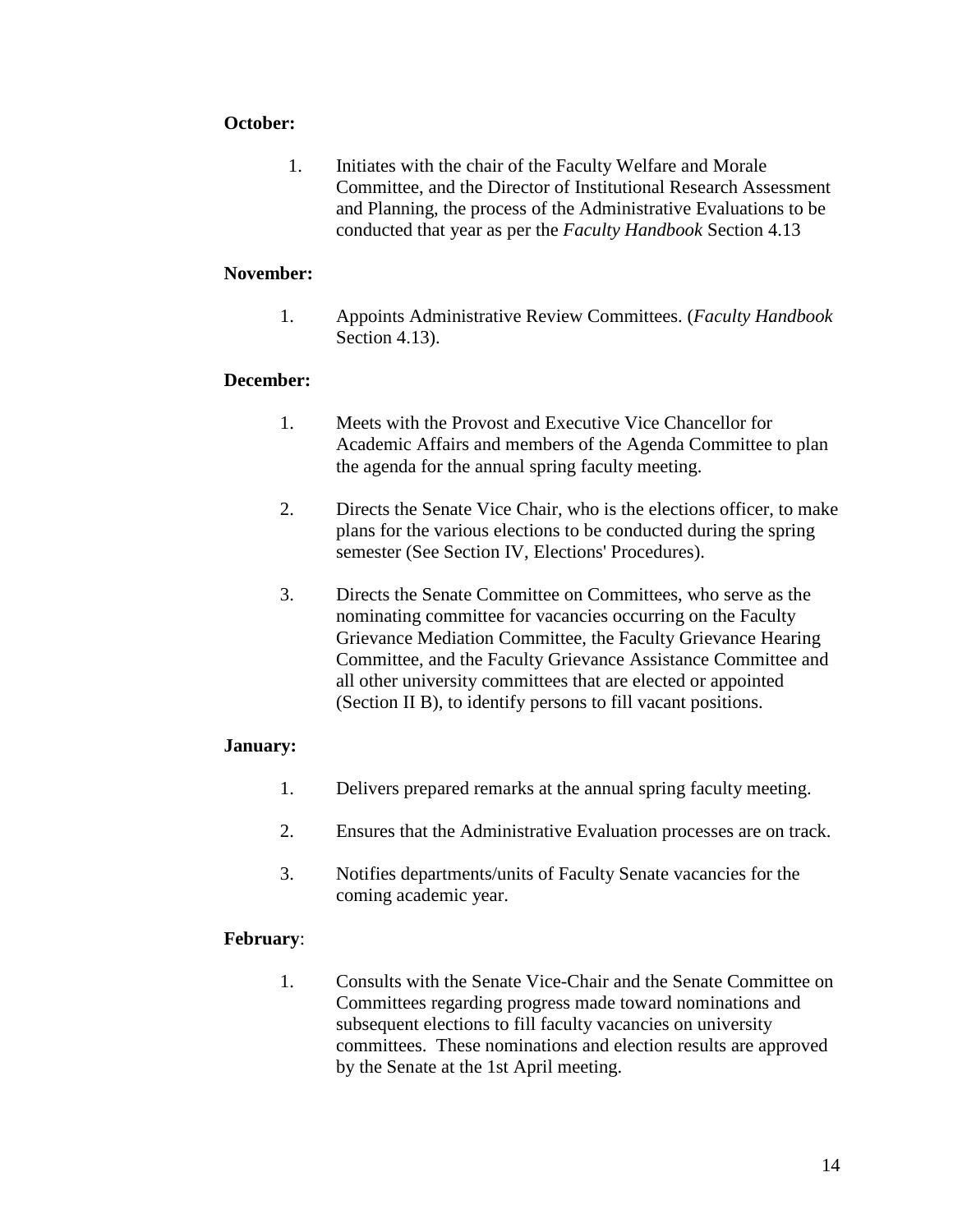# **October:**

1. Initiates with the chair of the Faculty Welfare and Morale Committee, and the Director of Institutional Research Assessment and Planning, the process of the Administrative Evaluations to be conducted that year as per the *Faculty Handbook* Section 4.13

### **November:**

1. Appoints Administrative Review Committees. (*Faculty Handbook* Section 4.13).

# **December:**

- 1. Meets with the Provost and Executive Vice Chancellor for Academic Affairs and members of the Agenda Committee to plan the agenda for the annual spring faculty meeting.
- 2. Directs the Senate Vice Chair, who is the elections officer, to make plans for the various elections to be conducted during the spring semester (See Section IV, Elections' Procedures).
- 3. Directs the Senate Committee on Committees, who serve as the nominating committee for vacancies occurring on the Faculty Grievance Mediation Committee, the Faculty Grievance Hearing Committee, and the Faculty Grievance Assistance Committee and all other university committees that are elected or appointed (Section II B), to identify persons to fill vacant positions.

### **January:**

- 1. Delivers prepared remarks at the annual spring faculty meeting.
- 2. Ensures that the Administrative Evaluation processes are on track.
- 3. Notifies departments/units of Faculty Senate vacancies for the coming academic year.

### **February**:

1. Consults with the Senate Vice-Chair and the Senate Committee on Committees regarding progress made toward nominations and subsequent elections to fill faculty vacancies on university committees. These nominations and election results are approved by the Senate at the 1st April meeting.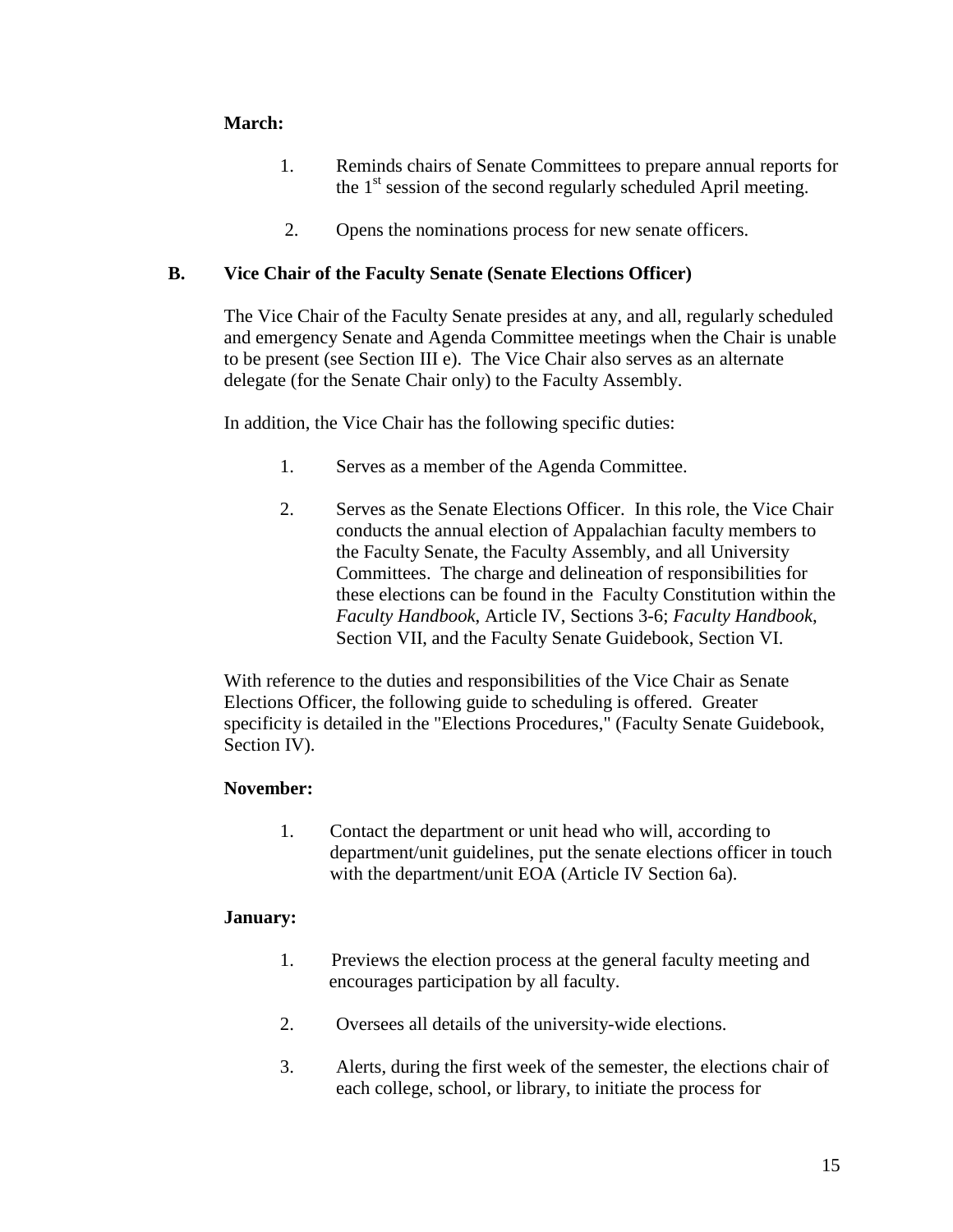# **March:**

- 1. Reminds chairs of Senate Committees to prepare annual reports for the  $1<sup>st</sup>$  session of the second regularly scheduled April meeting.
- 2. Opens the nominations process for new senate officers.

# **B. Vice Chair of the Faculty Senate (Senate Elections Officer)**

The Vice Chair of the Faculty Senate presides at any, and all, regularly scheduled and emergency Senate and Agenda Committee meetings when the Chair is unable to be present (see Section III e). The Vice Chair also serves as an alternate delegate (for the Senate Chair only) to the Faculty Assembly.

In addition, the Vice Chair has the following specific duties:

- 1. Serves as a member of the Agenda Committee.
- 2. Serves as the Senate Elections Officer. In this role, the Vice Chair conducts the annual election of Appalachian faculty members to the Faculty Senate, the Faculty Assembly, and all University Committees. The charge and delineation of responsibilities for these elections can be found in the Faculty Constitution within the *Faculty Handbook*, Article IV, Sections 3-6; *Faculty Handbook*, Section VII, and the Faculty Senate Guidebook, Section VI.

With reference to the duties and responsibilities of the Vice Chair as Senate Elections Officer, the following guide to scheduling is offered. Greater specificity is detailed in the "Elections Procedures," (Faculty Senate Guidebook, Section IV).

# **November:**

1. Contact the department or unit head who will, according to department/unit guidelines, put the senate elections officer in touch with the department/unit EOA (Article IV Section 6a).

### **January:**

- 1. Previews the election process at the general faculty meeting and encourages participation by all faculty.
- 2. Oversees all details of the university-wide elections.
- 3. Alerts, during the first week of the semester, the elections chair of each college, school, or library, to initiate the process for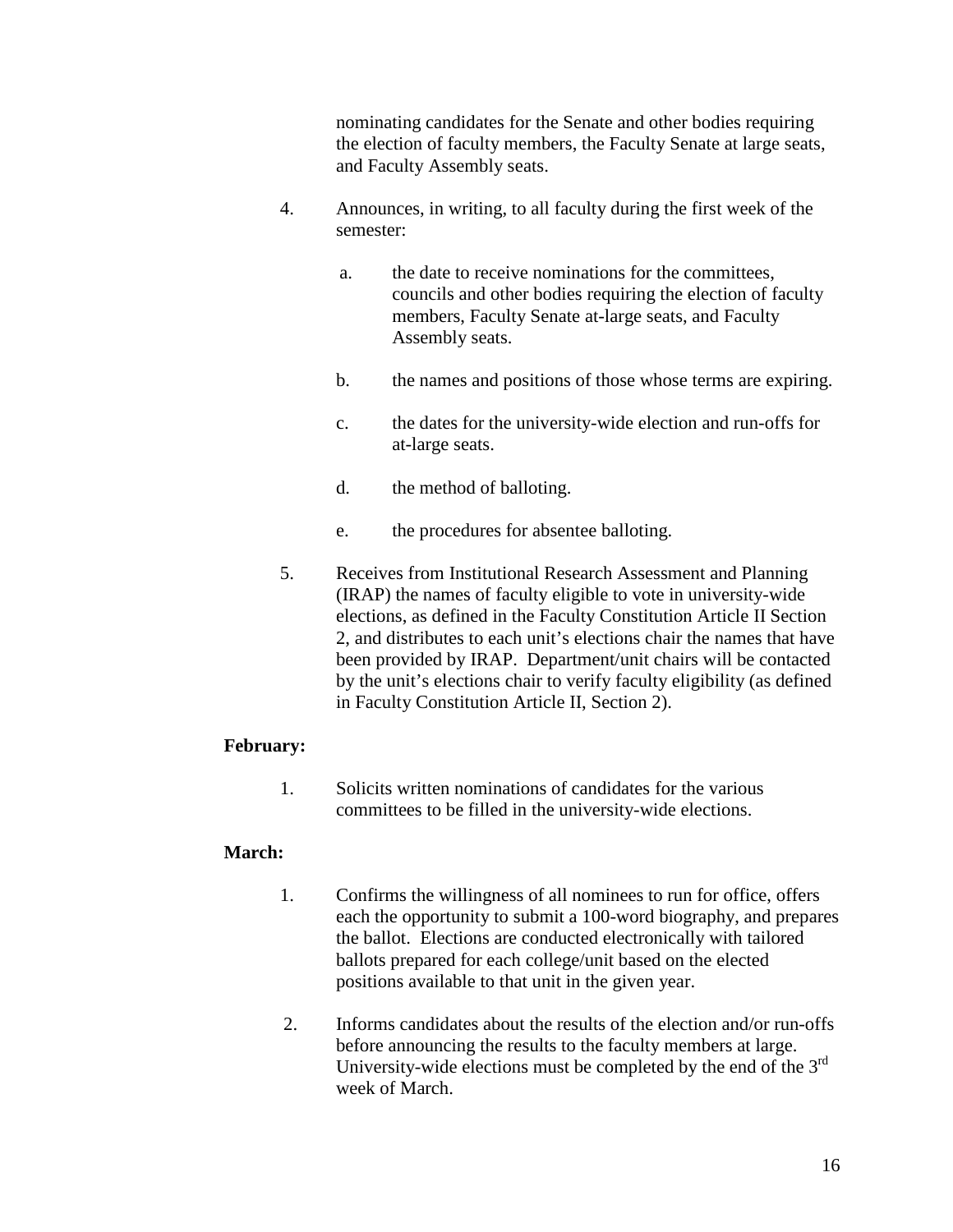nominating candidates for the Senate and other bodies requiring the election of faculty members, the Faculty Senate at large seats, and Faculty Assembly seats.

- 4. Announces, in writing, to all faculty during the first week of the semester:
	- a. the date to receive nominations for the committees, councils and other bodies requiring the election of faculty members, Faculty Senate at-large seats, and Faculty Assembly seats.
	- b. the names and positions of those whose terms are expiring.
	- c. the dates for the university-wide election and run-offs for at-large seats.
	- d. the method of balloting.
	- e. the procedures for absentee balloting.
- 5. Receives from Institutional Research Assessment and Planning (IRAP) the names of faculty eligible to vote in university-wide elections, as defined in the Faculty Constitution Article II Section 2, and distributes to each unit's elections chair the names that have been provided by IRAP. Department/unit chairs will be contacted by the unit's elections chair to verify faculty eligibility (as defined in Faculty Constitution Article II, Section 2).

### **February:**

1. Solicits written nominations of candidates for the various committees to be filled in the university-wide elections.

# **March:**

- 1. Confirms the willingness of all nominees to run for office, offers each the opportunity to submit a 100-word biography, and prepares the ballot. Elections are conducted electronically with tailored ballots prepared for each college/unit based on the elected positions available to that unit in the given year.
- 2. Informs candidates about the results of the election and/or run-offs before announcing the results to the faculty members at large. University-wide elections must be completed by the end of the 3rd week of March.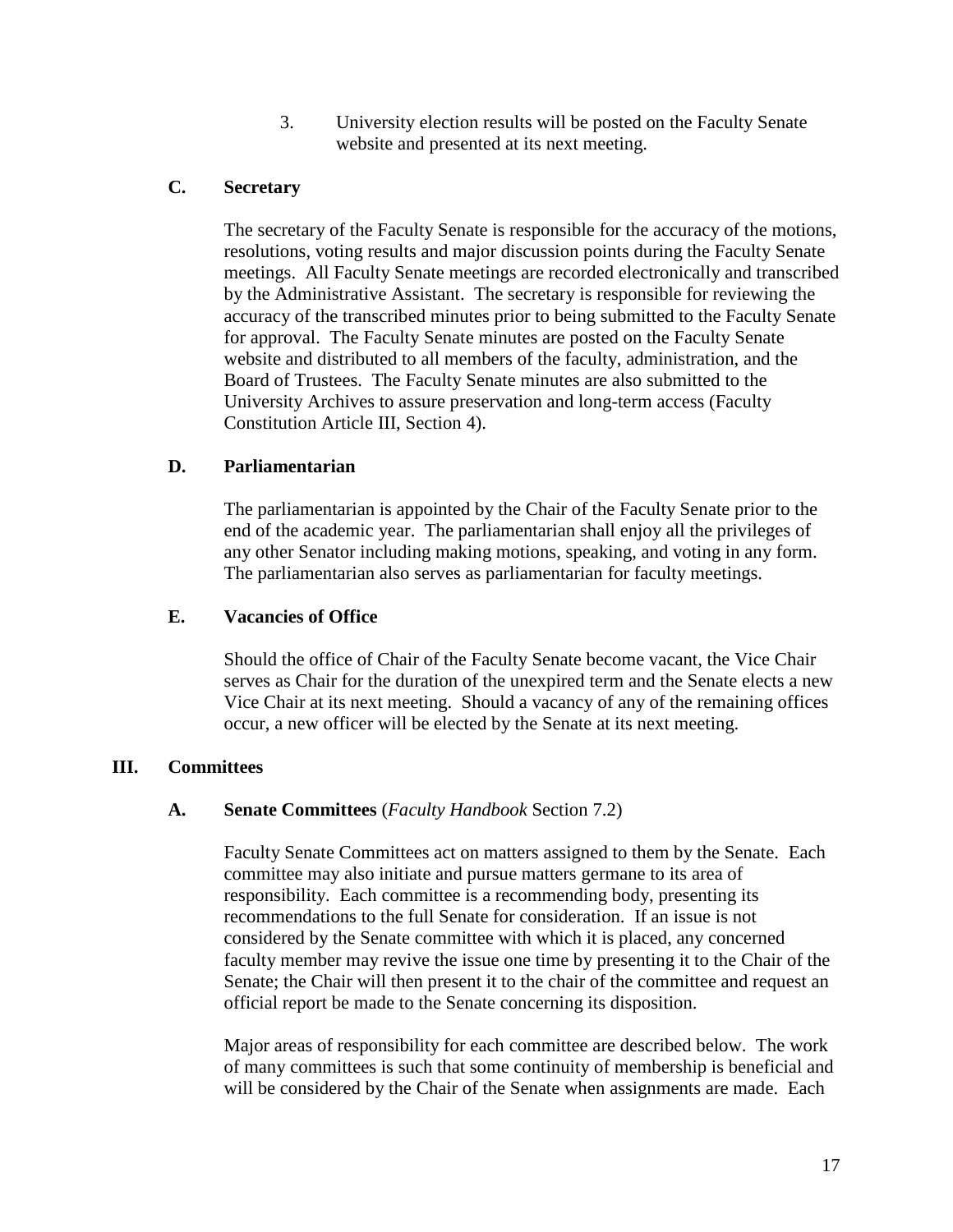3. University election results will be posted on the Faculty Senate website and presented at its next meeting.

# **C. Secretary**

The secretary of the Faculty Senate is responsible for the accuracy of the motions, resolutions, voting results and major discussion points during the Faculty Senate meetings. All Faculty Senate meetings are recorded electronically and transcribed by the Administrative Assistant. The secretary is responsible for reviewing the accuracy of the transcribed minutes prior to being submitted to the Faculty Senate for approval. The Faculty Senate minutes are posted on the Faculty Senate website and distributed to all members of the faculty, administration, and the Board of Trustees. The Faculty Senate minutes are also submitted to the University Archives to assure preservation and long-term access (Faculty Constitution Article III, Section 4).

# **D. Parliamentarian**

The parliamentarian is appointed by the Chair of the Faculty Senate prior to the end of the academic year. The parliamentarian shall enjoy all the privileges of any other Senator including making motions, speaking, and voting in any form. The parliamentarian also serves as parliamentarian for faculty meetings.

### **E. Vacancies of Office**

Should the office of Chair of the Faculty Senate become vacant, the Vice Chair serves as Chair for the duration of the unexpired term and the Senate elects a new Vice Chair at its next meeting. Should a vacancy of any of the remaining offices occur, a new officer will be elected by the Senate at its next meeting.

### **III. Committees**

### **A. Senate Committees** (*Faculty Handbook* Section 7.2)

Faculty Senate Committees act on matters assigned to them by the Senate. Each committee may also initiate and pursue matters germane to its area of responsibility. Each committee is a recommending body, presenting its recommendations to the full Senate for consideration. If an issue is not considered by the Senate committee with which it is placed, any concerned faculty member may revive the issue one time by presenting it to the Chair of the Senate; the Chair will then present it to the chair of the committee and request an official report be made to the Senate concerning its disposition.

Major areas of responsibility for each committee are described below. The work of many committees is such that some continuity of membership is beneficial and will be considered by the Chair of the Senate when assignments are made. Each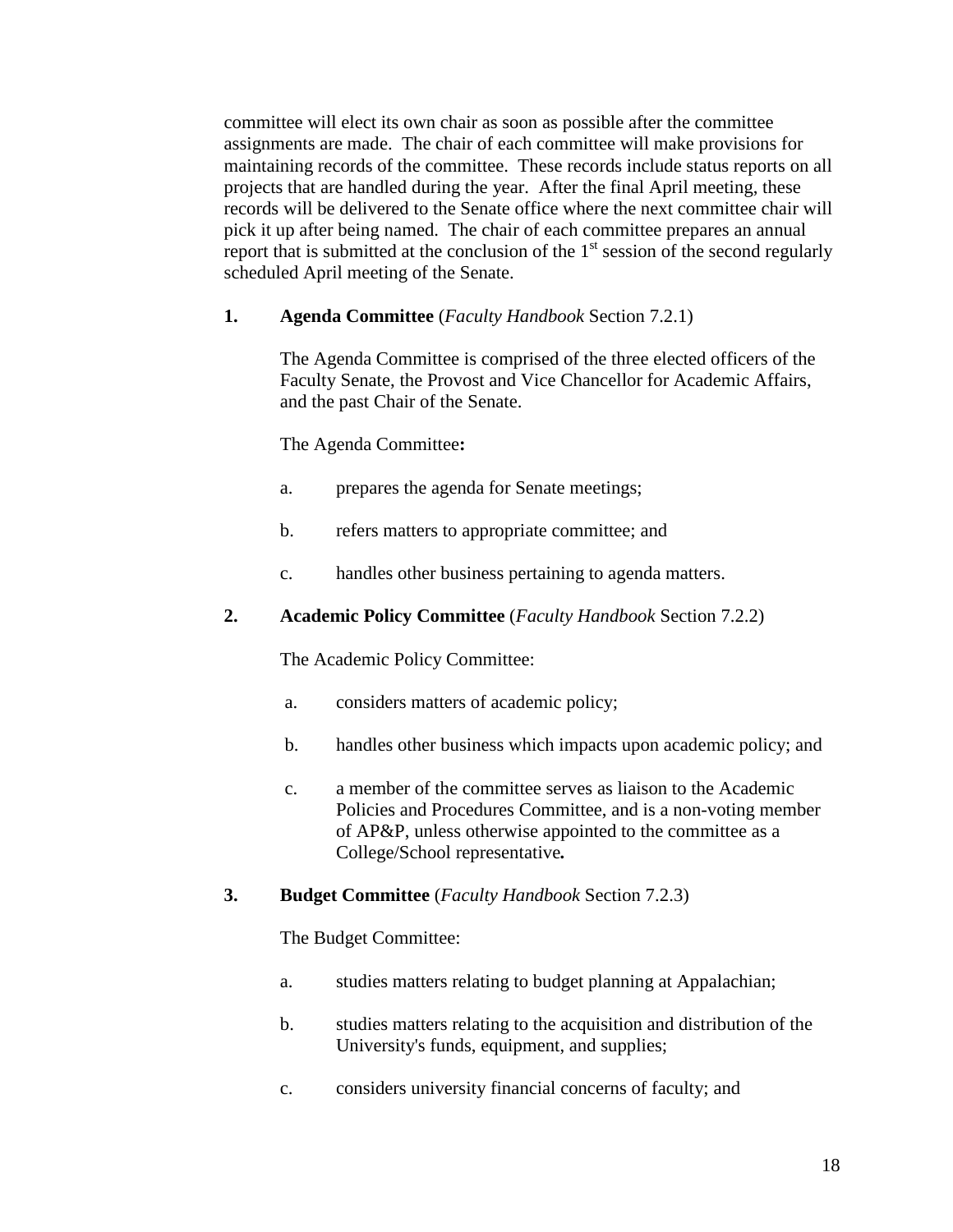committee will elect its own chair as soon as possible after the committee assignments are made. The chair of each committee will make provisions for maintaining records of the committee. These records include status reports on all projects that are handled during the year. After the final April meeting, these records will be delivered to the Senate office where the next committee chair will pick it up after being named. The chair of each committee prepares an annual report that is submitted at the conclusion of the  $1<sup>st</sup>$  session of the second regularly scheduled April meeting of the Senate.

# **1. Agenda Committee** (*Faculty Handbook* Section 7.2.1)

The Agenda Committee is comprised of the three elected officers of the Faculty Senate, the Provost and Vice Chancellor for Academic Affairs, and the past Chair of the Senate.

The Agenda Committee**:**

- a. prepares the agenda for Senate meetings;
- b. refers matters to appropriate committee; and
- c. handles other business pertaining to agenda matters.

# **2. Academic Policy Committee** (*Faculty Handbook* Section 7.2.2)

The Academic Policy Committee:

- a. considers matters of academic policy;
- b. handles other business which impacts upon academic policy; and
- c. a member of the committee serves as liaison to the Academic Policies and Procedures Committee, and is a non-voting member of AP&P, unless otherwise appointed to the committee as a College/School representative*.*

# **3. Budget Committee** (*Faculty Handbook* Section 7.2.3)

The Budget Committee:

- a. studies matters relating to budget planning at Appalachian;
- b. studies matters relating to the acquisition and distribution of the University's funds, equipment, and supplies;
- c. considers university financial concerns of faculty; and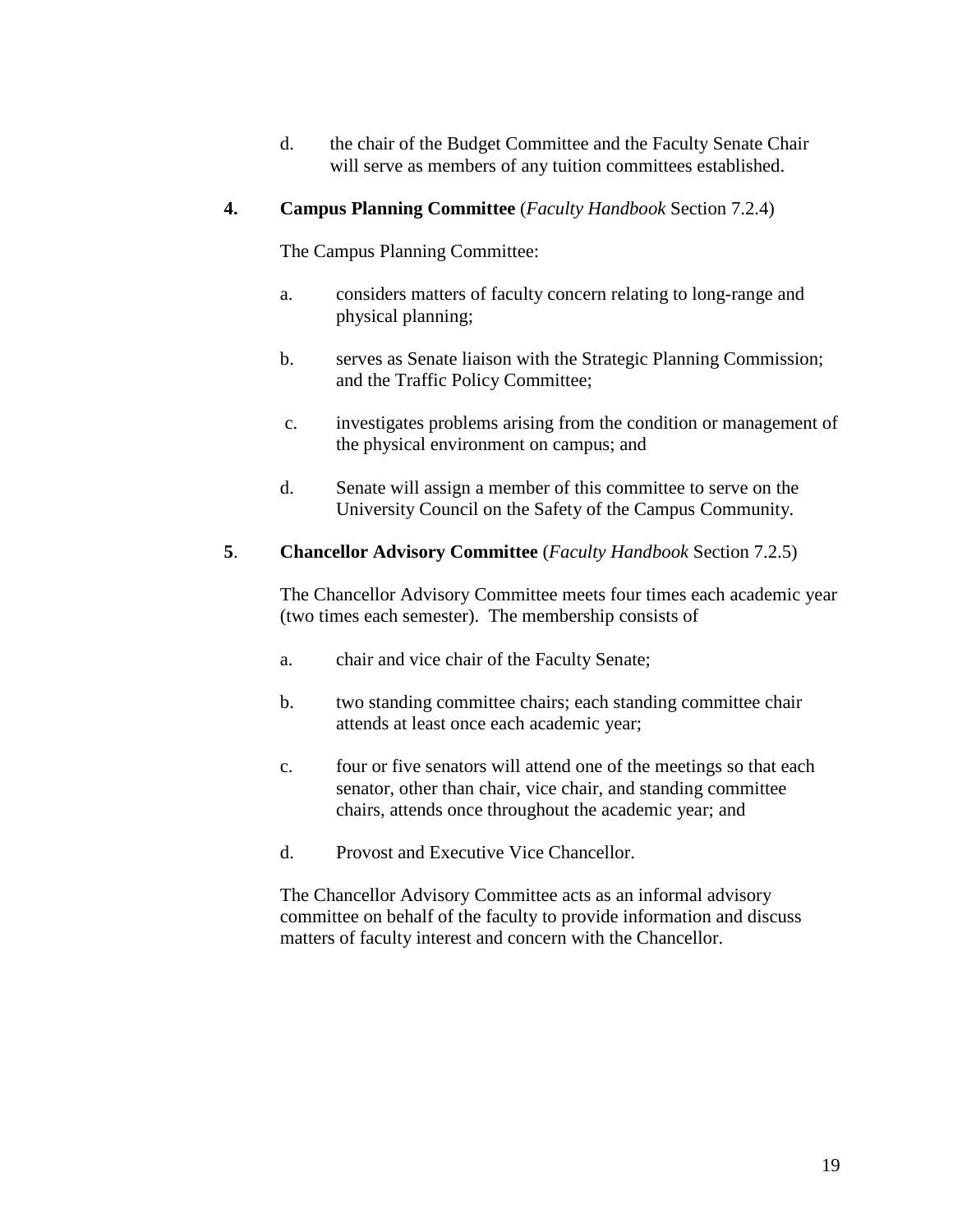d. the chair of the Budget Committee and the Faculty Senate Chair will serve as members of any tuition committees established.

# **4. Campus Planning Committee** (*Faculty Handbook* Section 7.2.4)

The Campus Planning Committee:

- a. considers matters of faculty concern relating to long-range and physical planning;
- b. serves as Senate liaison with the Strategic Planning Commission; and the Traffic Policy Committee;
- c. investigates problems arising from the condition or management of the physical environment on campus; and
- d. Senate will assign a member of this committee to serve on the University Council on the Safety of the Campus Community.

# **5**. **Chancellor Advisory Committee** (*Faculty Handbook* Section 7.2.5)

The Chancellor Advisory Committee meets four times each academic year (two times each semester). The membership consists of

- a. chair and vice chair of the Faculty Senate;
- b. two standing committee chairs; each standing committee chair attends at least once each academic year;
- c. four or five senators will attend one of the meetings so that each senator, other than chair, vice chair, and standing committee chairs, attends once throughout the academic year; and
- d. Provost and Executive Vice Chancellor.

The Chancellor Advisory Committee acts as an informal advisory committee on behalf of the faculty to provide information and discuss matters of faculty interest and concern with the Chancellor.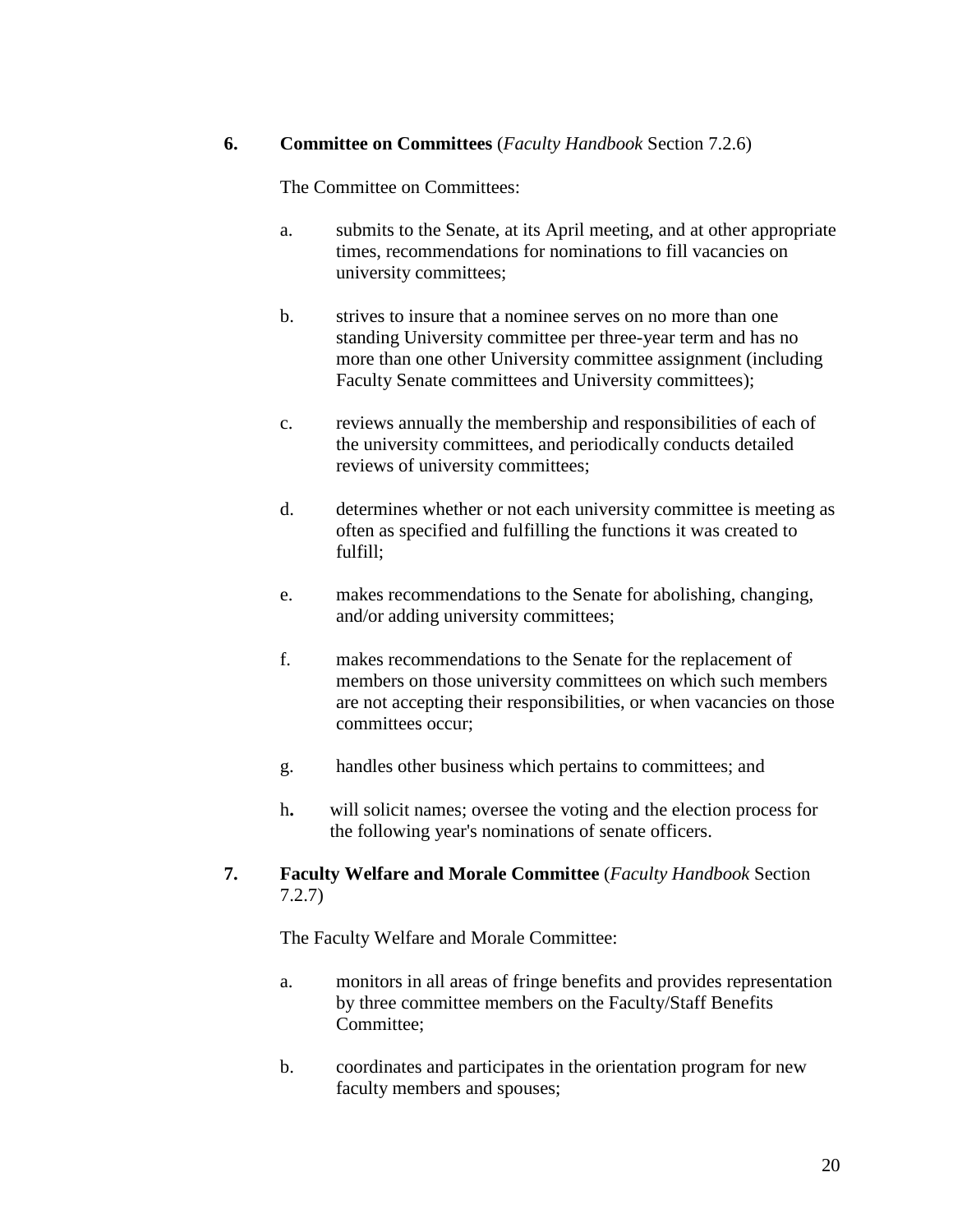### **6. Committee on Committees** (*Faculty Handbook* Section 7.2.6)

The Committee on Committees:

- a. submits to the Senate, at its April meeting, and at other appropriate times, recommendations for nominations to fill vacancies on university committees;
- b. strives to insure that a nominee serves on no more than one standing University committee per three-year term and has no more than one other University committee assignment (including Faculty Senate committees and University committees);
- c. reviews annually the membership and responsibilities of each of the university committees, and periodically conducts detailed reviews of university committees;
- d. determines whether or not each university committee is meeting as often as specified and fulfilling the functions it was created to fulfill;
- e. makes recommendations to the Senate for abolishing, changing, and/or adding university committees;
- f. makes recommendations to the Senate for the replacement of members on those university committees on which such members are not accepting their responsibilities, or when vacancies on those committees occur;
- g. handles other business which pertains to committees; and
- h**.** will solicit names; oversee the voting and the election process for the following year's nominations of senate officers.
- **7. Faculty Welfare and Morale Committee** (*Faculty Handbook* Section 7.2.7)

The Faculty Welfare and Morale Committee:

- a. monitors in all areas of fringe benefits and provides representation by three committee members on the Faculty/Staff Benefits Committee;
- b. coordinates and participates in the orientation program for new faculty members and spouses;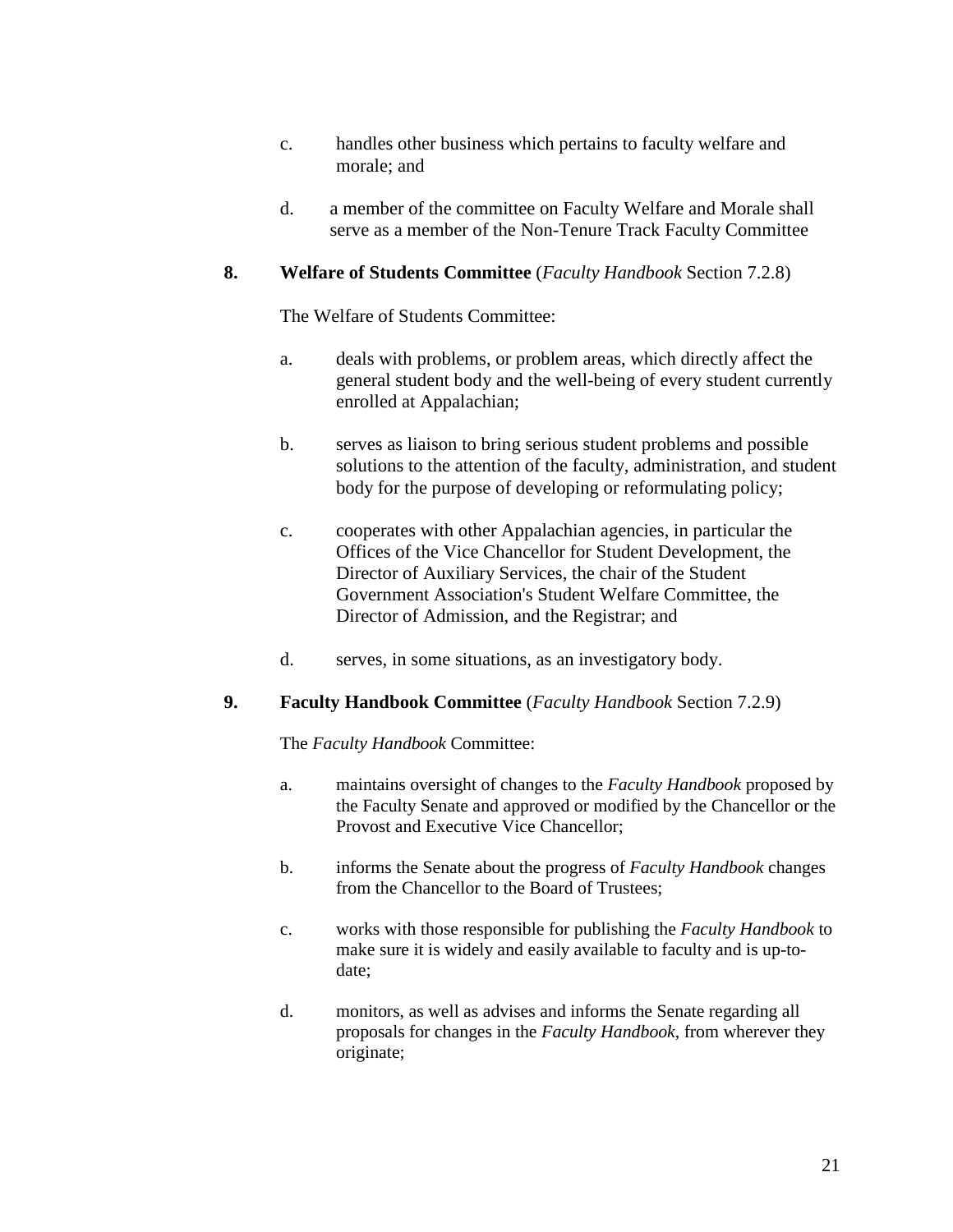- c. handles other business which pertains to faculty welfare and morale; and
- d. a member of the committee on Faculty Welfare and Morale shall serve as a member of the Non-Tenure Track Faculty Committee

### **8. Welfare of Students Committee** (*Faculty Handbook* Section 7.2.8)

The Welfare of Students Committee:

- a. deals with problems, or problem areas, which directly affect the general student body and the well-being of every student currently enrolled at Appalachian;
- b. serves as liaison to bring serious student problems and possible solutions to the attention of the faculty, administration, and student body for the purpose of developing or reformulating policy;
- c. cooperates with other Appalachian agencies, in particular the Offices of the Vice Chancellor for Student Development, the Director of Auxiliary Services, the chair of the Student Government Association's Student Welfare Committee, the Director of Admission, and the Registrar; and
- d. serves, in some situations, as an investigatory body.

### **9. Faculty Handbook Committee** (*Faculty Handbook* Section 7.2.9)

The *Faculty Handbook* Committee:

- a. maintains oversight of changes to the *Faculty Handbook* proposed by the Faculty Senate and approved or modified by the Chancellor or the Provost and Executive Vice Chancellor;
- b. informs the Senate about the progress of *Faculty Handbook* changes from the Chancellor to the Board of Trustees;
- c. works with those responsible for publishing the *Faculty Handbook* to make sure it is widely and easily available to faculty and is up-todate;
- d. monitors, as well as advises and informs the Senate regarding all proposals for changes in the *Faculty Handbook*, from wherever they originate;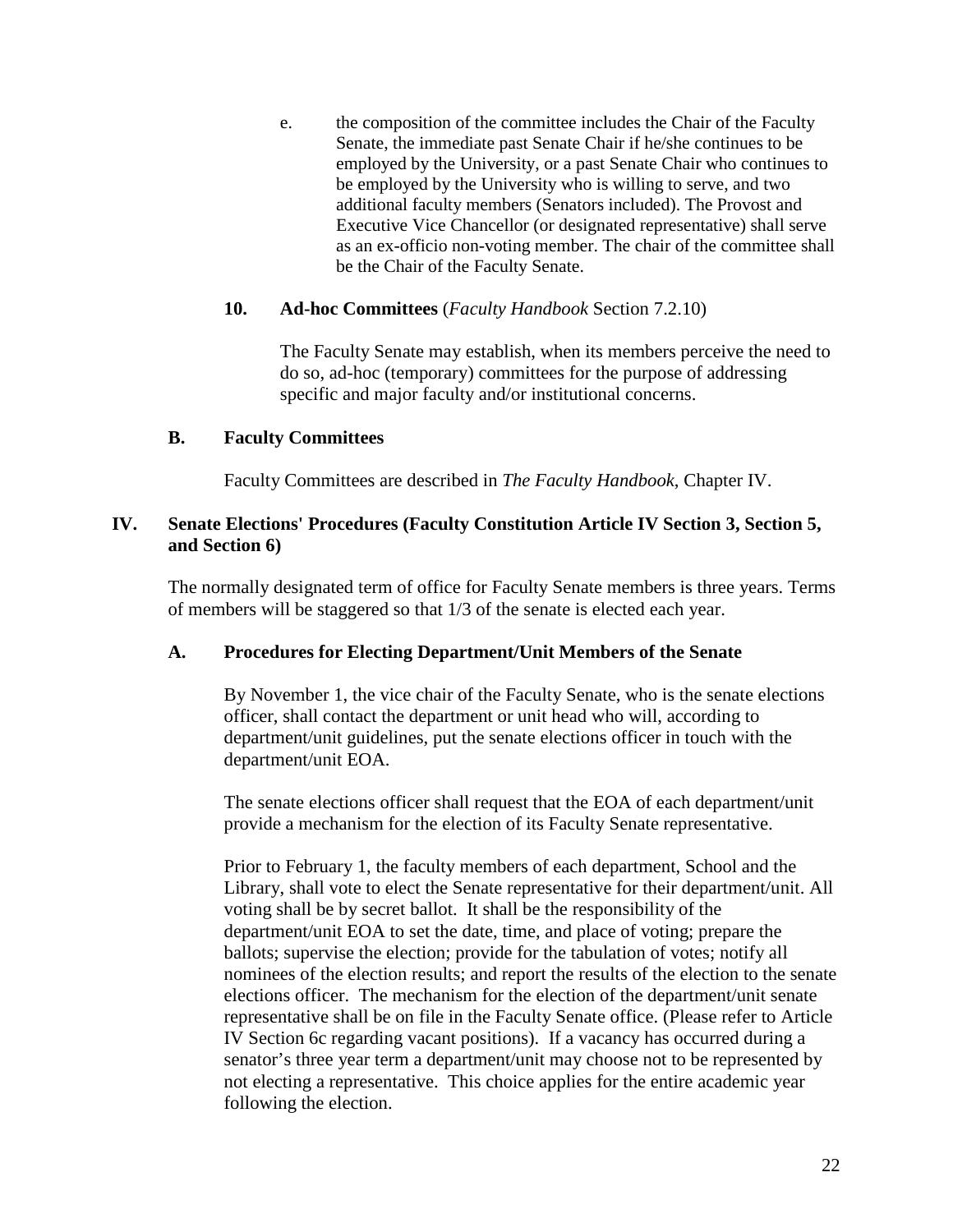e. the composition of the committee includes the Chair of the Faculty Senate, the immediate past Senate Chair if he/she continues to be employed by the University, or a past Senate Chair who continues to be employed by the University who is willing to serve, and two additional faculty members (Senators included). The Provost and Executive Vice Chancellor (or designated representative) shall serve as an ex-officio non-voting member. The chair of the committee shall be the Chair of the Faculty Senate.

# **10. Ad-hoc Committees** (*Faculty Handbook* Section 7.2.10)

The Faculty Senate may establish, when its members perceive the need to do so, ad-hoc (temporary) committees for the purpose of addressing specific and major faculty and/or institutional concerns.

# **B. Faculty Committees**

Faculty Committees are described in *The Faculty Handbook*, Chapter IV.

# **IV. Senate Elections' Procedures (Faculty Constitution Article IV Section 3, Section 5, and Section 6)**

The normally designated term of office for Faculty Senate members is three years. Terms of members will be staggered so that 1/3 of the senate is elected each year.

### **A. Procedures for Electing Department/Unit Members of the Senate**

By November 1, the vice chair of the Faculty Senate, who is the senate elections officer, shall contact the department or unit head who will, according to department/unit guidelines, put the senate elections officer in touch with the department/unit EOA.

The senate elections officer shall request that the EOA of each department/unit provide a mechanism for the election of its Faculty Senate representative.

Prior to February 1, the faculty members of each department, School and the Library, shall vote to elect the Senate representative for their department/unit. All voting shall be by secret ballot. It shall be the responsibility of the department/unit EOA to set the date, time, and place of voting; prepare the ballots; supervise the election; provide for the tabulation of votes; notify all nominees of the election results; and report the results of the election to the senate elections officer. The mechanism for the election of the department/unit senate representative shall be on file in the Faculty Senate office. (Please refer to Article IV Section 6c regarding vacant positions). If a vacancy has occurred during a senator's three year term a department/unit may choose not to be represented by not electing a representative. This choice applies for the entire academic year following the election.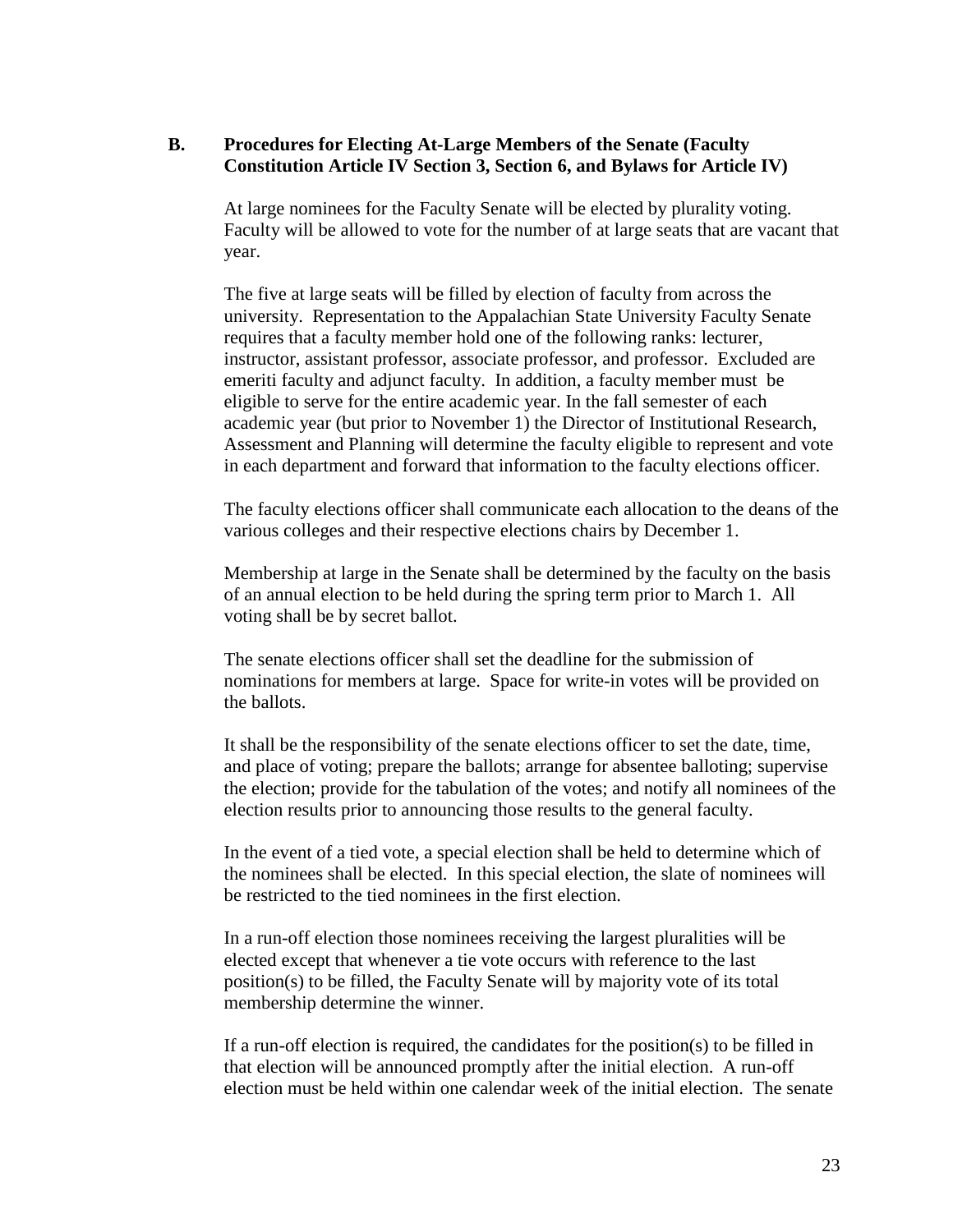# **B. Procedures for Electing At-Large Members of the Senate (Faculty Constitution Article IV Section 3, Section 6, and Bylaws for Article IV)**

At large nominees for the Faculty Senate will be elected by plurality voting. Faculty will be allowed to vote for the number of at large seats that are vacant that year.

The five at large seats will be filled by election of faculty from across the university. Representation to the Appalachian State University Faculty Senate requires that a faculty member hold one of the following ranks: lecturer, instructor, assistant professor, associate professor, and professor. Excluded are emeriti faculty and adjunct faculty. In addition, a faculty member must be eligible to serve for the entire academic year. In the fall semester of each academic year (but prior to November 1) the Director of Institutional Research, Assessment and Planning will determine the faculty eligible to represent and vote in each department and forward that information to the faculty elections officer.

The faculty elections officer shall communicate each allocation to the deans of the various colleges and their respective elections chairs by December 1.

Membership at large in the Senate shall be determined by the faculty on the basis of an annual election to be held during the spring term prior to March 1. All voting shall be by secret ballot.

The senate elections officer shall set the deadline for the submission of nominations for members at large. Space for write-in votes will be provided on the ballots.

It shall be the responsibility of the senate elections officer to set the date, time, and place of voting; prepare the ballots; arrange for absentee balloting; supervise the election; provide for the tabulation of the votes; and notify all nominees of the election results prior to announcing those results to the general faculty.

In the event of a tied vote, a special election shall be held to determine which of the nominees shall be elected. In this special election, the slate of nominees will be restricted to the tied nominees in the first election.

In a run-off election those nominees receiving the largest pluralities will be elected except that whenever a tie vote occurs with reference to the last position(s) to be filled, the Faculty Senate will by majority vote of its total membership determine the winner.

If a run-off election is required, the candidates for the position(s) to be filled in that election will be announced promptly after the initial election. A run-off election must be held within one calendar week of the initial election. The senate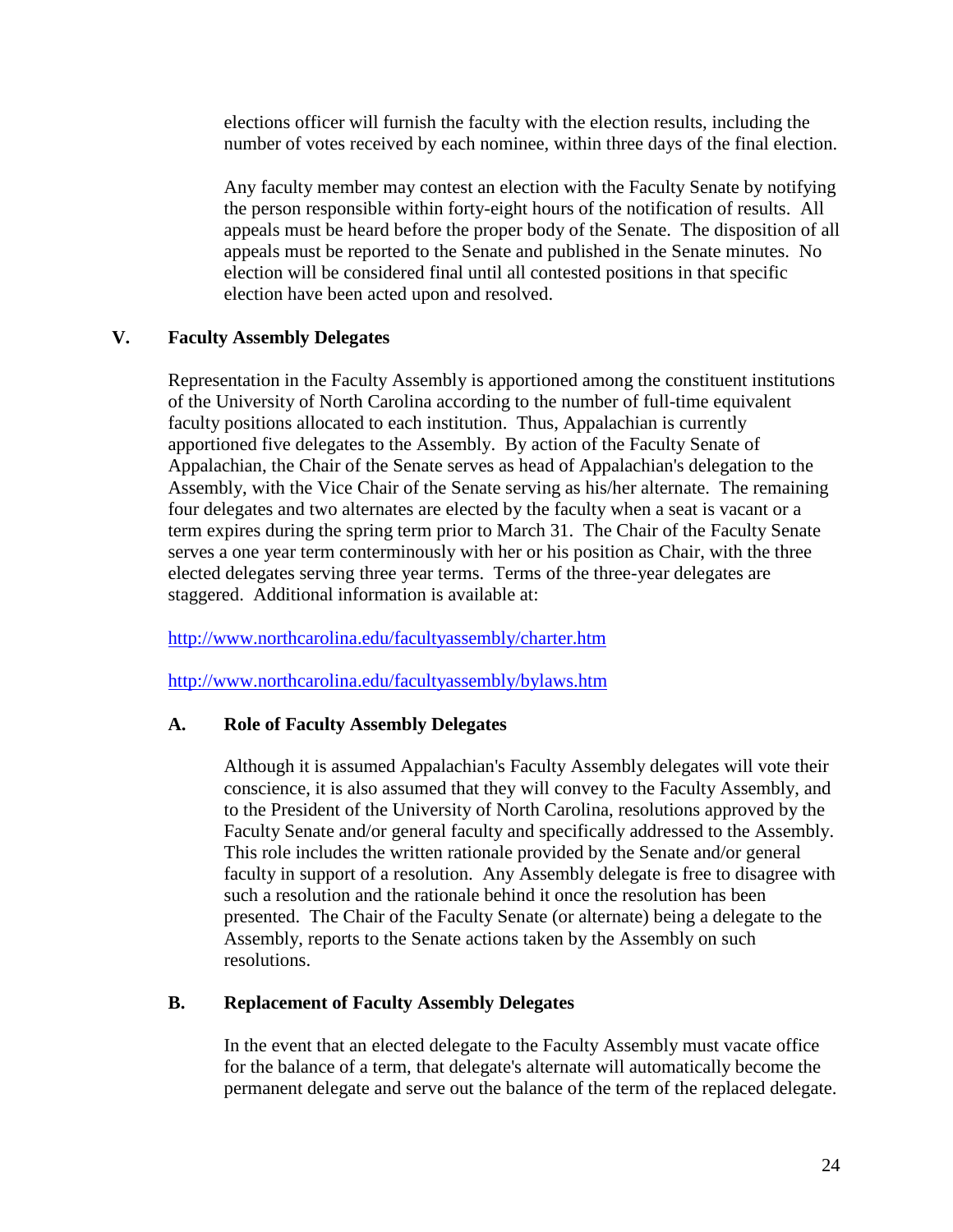elections officer will furnish the faculty with the election results, including the number of votes received by each nominee, within three days of the final election.

Any faculty member may contest an election with the Faculty Senate by notifying the person responsible within forty-eight hours of the notification of results. All appeals must be heard before the proper body of the Senate. The disposition of all appeals must be reported to the Senate and published in the Senate minutes. No election will be considered final until all contested positions in that specific election have been acted upon and resolved.

# **V. Faculty Assembly Delegates**

Representation in the Faculty Assembly is apportioned among the constituent institutions of the University of North Carolina according to the number of full-time equivalent faculty positions allocated to each institution. Thus, Appalachian is currently apportioned five delegates to the Assembly. By action of the Faculty Senate of Appalachian, the Chair of the Senate serves as head of Appalachian's delegation to the Assembly, with the Vice Chair of the Senate serving as his/her alternate. The remaining four delegates and two alternates are elected by the faculty when a seat is vacant or a term expires during the spring term prior to March 31. The Chair of the Faculty Senate serves a one year term conterminously with her or his position as Chair, with the three elected delegates serving three year terms. Terms of the three-year delegates are staggered. Additional information is available at:

<http://www.northcarolina.edu/facultyassembly/charter.htm>

<http://www.northcarolina.edu/facultyassembly/bylaws.htm>

# **A. Role of Faculty Assembly Delegates**

Although it is assumed Appalachian's Faculty Assembly delegates will vote their conscience, it is also assumed that they will convey to the Faculty Assembly, and to the President of the University of North Carolina, resolutions approved by the Faculty Senate and/or general faculty and specifically addressed to the Assembly. This role includes the written rationale provided by the Senate and/or general faculty in support of a resolution. Any Assembly delegate is free to disagree with such a resolution and the rationale behind it once the resolution has been presented. The Chair of the Faculty Senate (or alternate) being a delegate to the Assembly, reports to the Senate actions taken by the Assembly on such resolutions.

### **B. Replacement of Faculty Assembly Delegates**

In the event that an elected delegate to the Faculty Assembly must vacate office for the balance of a term, that delegate's alternate will automatically become the permanent delegate and serve out the balance of the term of the replaced delegate.